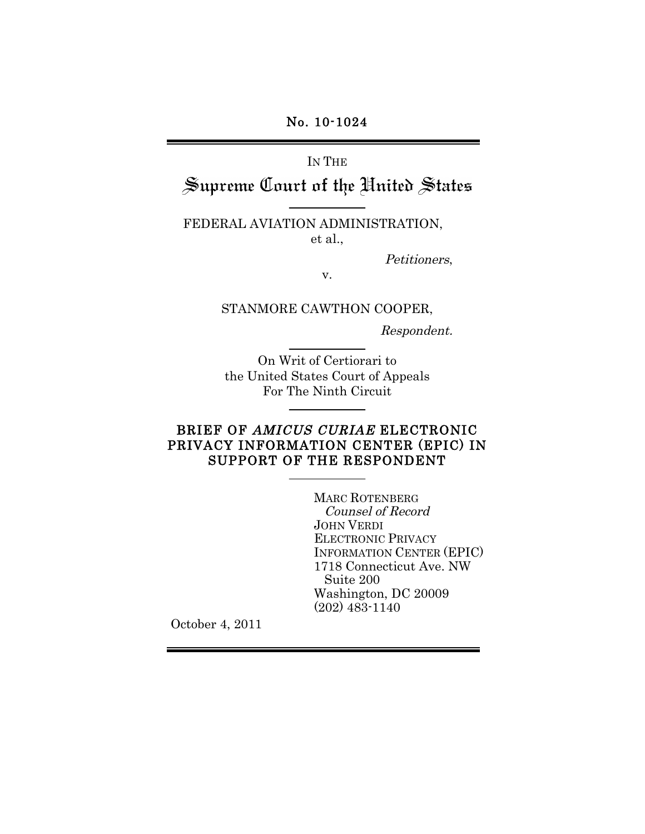No. 10-1024

# IN THE

# Supreme Court of the Hnited States

#### FEDERAL AVIATION ADMINISTRATION, et al.,

Petitioners,

v.

#### STANMORE CAWTHON COOPER,

Respondent.

On Writ of Certiorari to the United States Court of Appeals For The Ninth Circuit

# BRIEF OF AMICUS CURIAE ELECTRONIC PRIVACY INFORMATION CENTER (EPIC) IN SUPPORT OF THE RESPONDENT

MARC ROTENBERG Counsel of Record JOHN VERDI ELECTRONIC PRIVACY INFORMATION CENTER (EPIC) 1718 Connecticut Ave. NW Suite 200 Washington, DC 20009 (202) 483-1140

October 4, 2011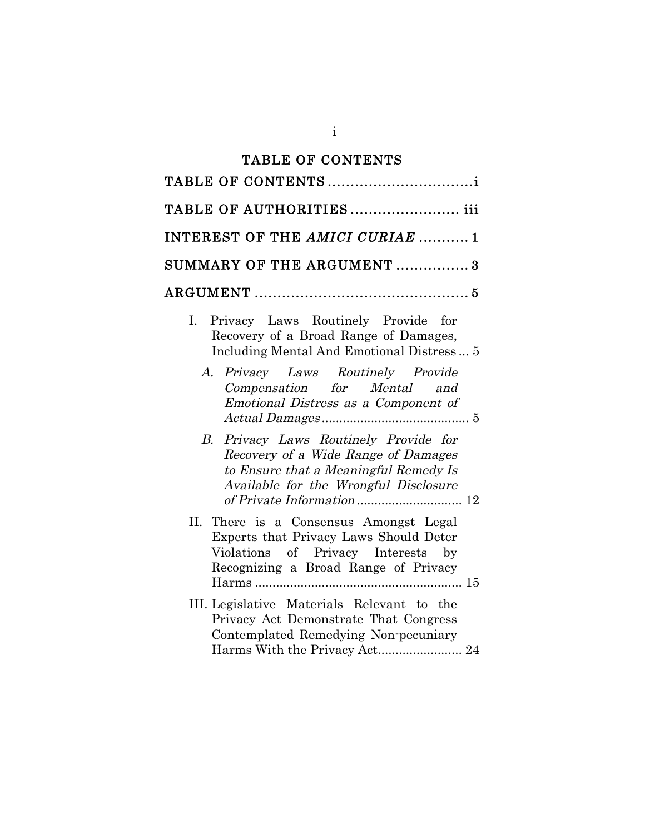# TABLE OF CONTENTS

| TABLE OF AUTHORITIES iii                                                                                                                                       |
|----------------------------------------------------------------------------------------------------------------------------------------------------------------|
| INTEREST OF THE AMICI CURIAE 1                                                                                                                                 |
| SUMMARY OF THE ARGUMENT  3                                                                                                                                     |
|                                                                                                                                                                |
| I. Privacy Laws Routinely Provide for<br>Recovery of a Broad Range of Damages,<br>Including Mental And Emotional Distress 5                                    |
| A. Privacy Laws Routinely Provide<br>Compensation for Mental and<br>Emotional Distress as a Component of                                                       |
| B. Privacy Laws Routinely Provide for<br>Recovery of a Wide Range of Damages<br>to Ensure that a Meaningful Remedy Is<br>Available for the Wrongful Disclosure |
| II. There is a Consensus Amongst Legal<br>Experts that Privacy Laws Should Deter<br>Violations of Privacy Interests by<br>Recognizing a Broad Range of Privacy |
| III. Legislative Materials Relevant to the<br>Privacy Act Demonstrate That Congress<br>Contemplated Remedying Non-pecuniary<br>Harms With the Privacy Act 24   |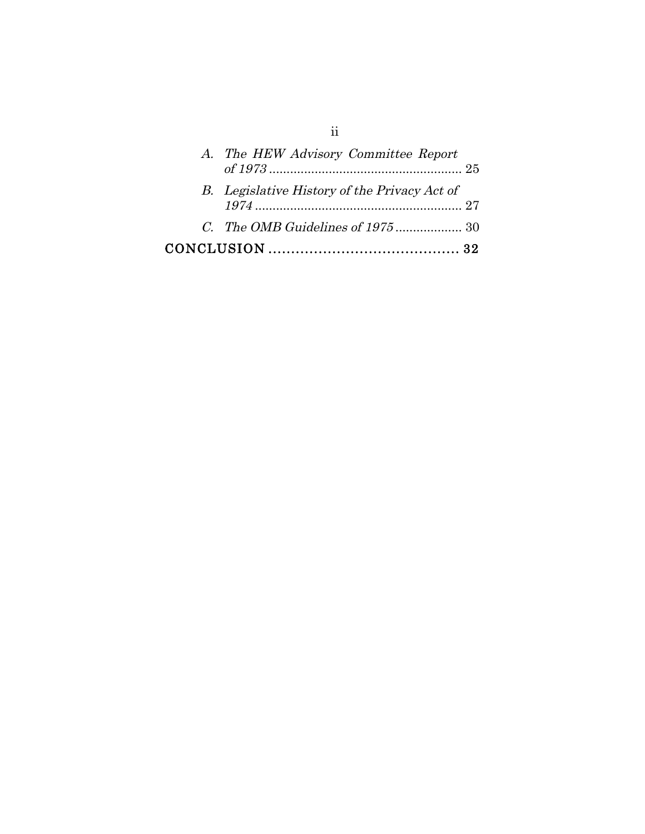| A. The HEW Advisory Committee Report         |
|----------------------------------------------|
| B. Legislative History of the Privacy Act of |
|                                              |
|                                              |

ii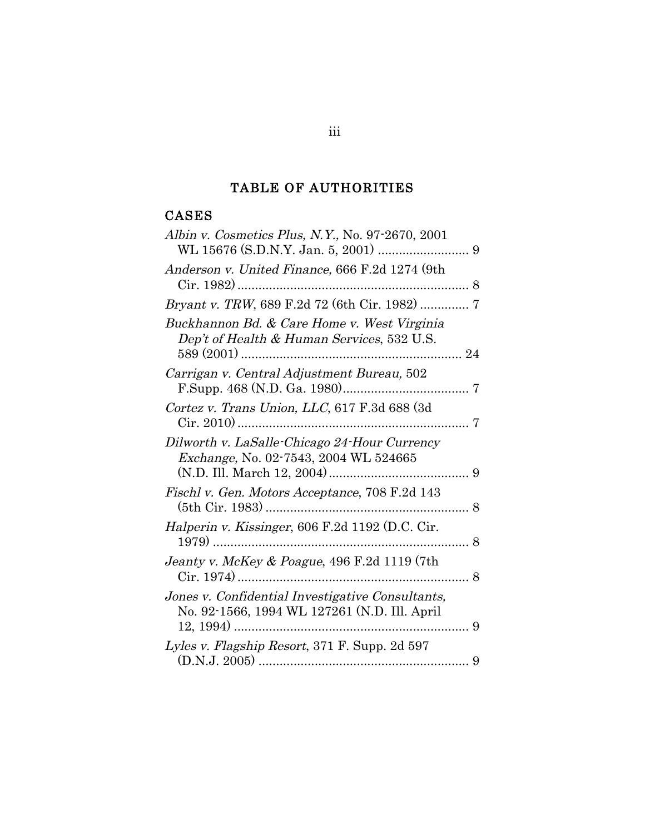# TABLE OF AUTHORITIES

# CASES

| Albin v. Cosmetics Plus, N.Y., No. 97-2670, 2001                                                 |
|--------------------------------------------------------------------------------------------------|
| Anderson v. United Finance, 666 F.2d 1274 (9th                                                   |
| Bryant v. TRW, 689 F.2d 72 (6th Cir. 1982)  7                                                    |
| Buckhannon Bd. & Care Home v. West Virginia<br>Dep't of Health & Human Services, 532 U.S.        |
| Carrigan v. Central Adjustment Bureau, 502                                                       |
| Cortez v. Trans Union, LLC, 617 F.3d 688 (3d                                                     |
| Dilworth v. LaSalle-Chicago 24-Hour Currency<br>Exchange, No. 02-7543, 2004 WL 524665            |
| Fischl v. Gen. Motors Acceptance, 708 F.2d 143                                                   |
| Halperin v. Kissinger, 606 F.2d 1192 (D.C. Cir.                                                  |
| Jeanty v. McKey & Poague, 496 F.2d 1119 (7th                                                     |
| Jones v. Confidential Investigative Consultants,<br>No. 92-1566, 1994 WL 127261 (N.D. Ill. April |
| Lyles v. Flagship Resort, 371 F. Supp. 2d 597                                                    |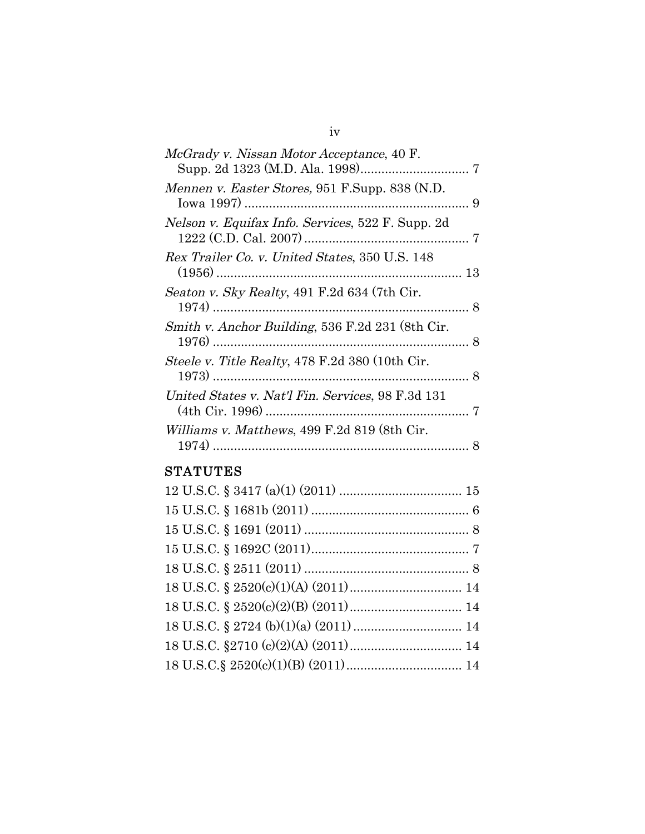| <i>McGrady v. Nissan Motor Acceptance, 40 F.</i>  |  |
|---------------------------------------------------|--|
| Mennen v. Easter Stores, 951 F.Supp. 838 (N.D.    |  |
| Nelson v. Equifax Info. Services, 522 F. Supp. 2d |  |
| Rex Trailer Co. v. United States, 350 U.S. 148    |  |
| Seaton v. Sky Realty, 491 F.2d 634 (7th Cir.      |  |
| Smith v. Anchor Building, 536 F.2d 231 (8th Cir.  |  |
| Steele v. Title Realty, 478 F.2d 380 (10th Cir.   |  |
| United States v. Nat'l Fin. Services, 98 F.3d 131 |  |
| Williams v. Matthews, 499 F.2d 819 (8th Cir.      |  |
|                                                   |  |

# **STATUTES**

iv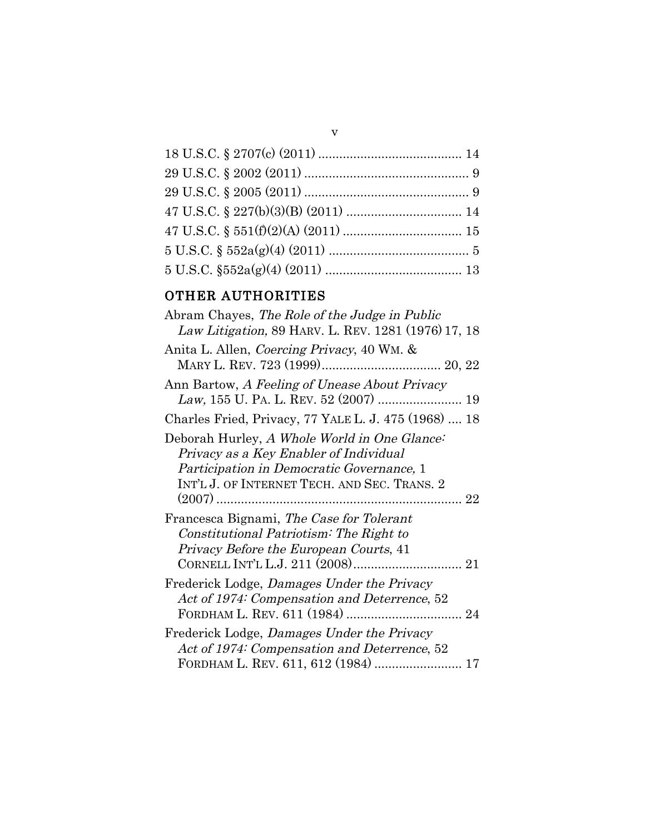v

# OTHER AUTHORITIES

| Abram Chayes, The Role of the Judge in Public<br>Law Litigation, 89 HARV. L. REV. 1281 (1976) 17, 18                                                                                |
|-------------------------------------------------------------------------------------------------------------------------------------------------------------------------------------|
| Anita L. Allen, Coercing Privacy, 40 WM. &                                                                                                                                          |
| Ann Bartow, A Feeling of Unease About Privacy                                                                                                                                       |
| Charles Fried, Privacy, 77 YALE L. J. 475 (1968)  18                                                                                                                                |
| Deborah Hurley, A Whole World in One Glance:<br>Privacy as a Key Enabler of Individual<br>Participation in Democratic Governance, 1<br>INT'L J. OF INTERNET TECH. AND SEC. TRANS. 2 |
| Francesca Bignami, The Case for Tolerant<br>Constitutional Patriotism: The Right to<br>Privacy Before the European Courts, 41                                                       |
| Frederick Lodge, Damages Under the Privacy<br>Act of 1974: Compensation and Deterrence, 52                                                                                          |
| Frederick Lodge, Damages Under the Privacy<br>Act of 1974: Compensation and Deterrence, 52<br>FORDHAM L. REV. 611, 612 (1984)  17                                                   |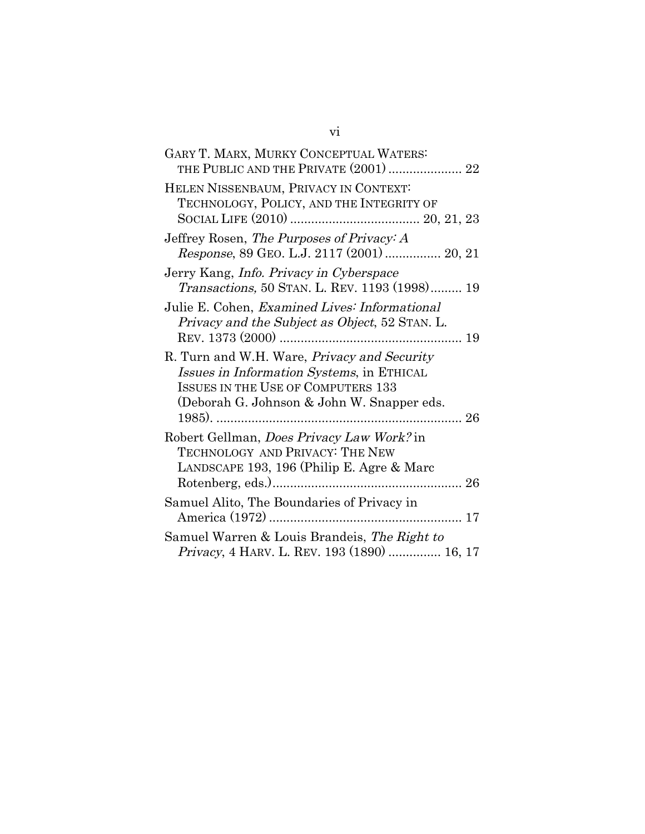| GARY T. MARX, MURKY CONCEPTUAL WATERS:<br>THE PUBLIC AND THE PRIVATE (2001)  22                                                                                                             |
|---------------------------------------------------------------------------------------------------------------------------------------------------------------------------------------------|
| HELEN NISSENBAUM, PRIVACY IN CONTEXT:<br>TECHNOLOGY, POLICY, AND THE INTEGRITY OF                                                                                                           |
| Jeffrey Rosen, The Purposes of Privacy: A<br>Response, 89 GEO. L.J. 2117 (2001)  20, 21                                                                                                     |
| Jerry Kang, <i>Info. Privacy in Cyberspace</i><br>Transactions, 50 STAN. L. REV. 1193 (1998) 19                                                                                             |
| Julie E. Cohen, Examined Lives: Informational<br>Privacy and the Subject as Object, 52 STAN. L.                                                                                             |
| R. Turn and W.H. Ware, <i>Privacy and Security</i><br>Issues in Information Systems, in ETHICAL<br><b>ISSUES IN THE USE OF COMPUTERS 133</b><br>(Deborah G. Johnson & John W. Snapper eds.) |
| Robert Gellman, Does Privacy Law Work? in<br>TECHNOLOGY AND PRIVACY: THE NEW<br>LANDSCAPE 193, 196 (Philip E. Agre & Marc                                                                   |
| Samuel Alito, The Boundaries of Privacy in                                                                                                                                                  |
| Samuel Warren & Louis Brandeis, The Right to<br><i>Privacy</i> , 4 HARV. L. REV. 193 (1890)  16, 17                                                                                         |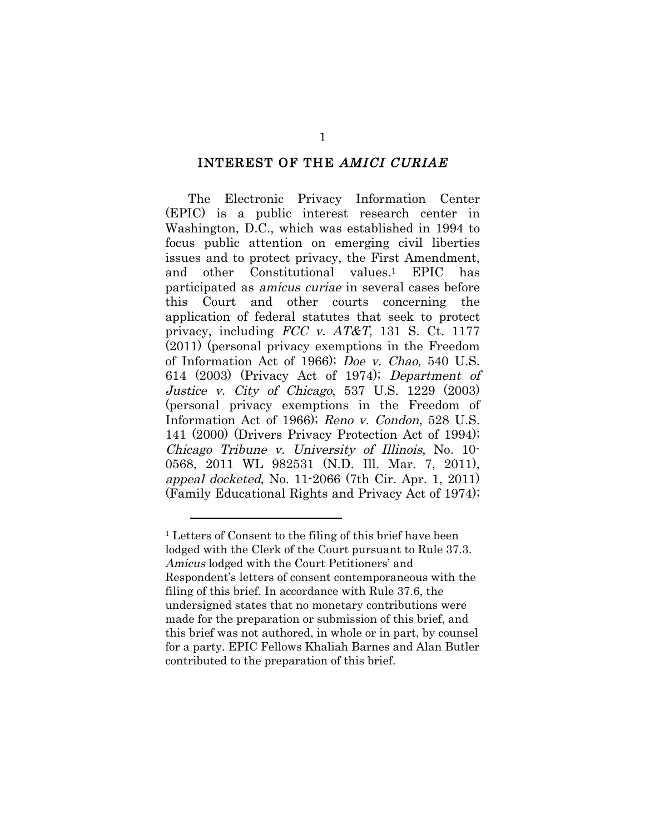#### INTEREST OF THE AMICI CURIAE

The Electronic Privacy Information Center (EPIC) is a public interest research center in Washington, D.C., which was established in 1994 to focus public attention on emerging civil liberties issues and to protect privacy, the First Amendment, and other Constitutional values.1 EPIC has participated as amicus curiae in several cases before this Court and other courts concerning the application of federal statutes that seek to protect privacy, including  $FCC$  v.  $AT&T$ , 131 S. Ct. 1177 (2011) (personal privacy exemptions in the Freedom of Information Act of 1966); Doe v. Chao, 540 U.S. 614 (2003) (Privacy Act of 1974); Department of Justice v. City of Chicago, 537 U.S. 1229 (2003) (personal privacy exemptions in the Freedom of Information Act of 1966); Reno v. Condon, 528 U.S. 141 (2000) (Drivers Privacy Protection Act of 1994); Chicago Tribune v. University of Illinois, No. 10- 0568, 2011 WL 982531 (N.D. Ill. Mar. 7, 2011), appeal docketed, No. 11-2066 (7th Cir. Apr. 1, 2011) (Family Educational Rights and Privacy Act of 1974);

 $\overline{a}$ 

<sup>1</sup> Letters of Consent to the filing of this brief have been lodged with the Clerk of the Court pursuant to Rule 37.3. Amicus lodged with the Court Petitioners' and Respondent's letters of consent contemporaneous with the filing of this brief. In accordance with Rule 37.6, the undersigned states that no monetary contributions were made for the preparation or submission of this brief, and this brief was not authored, in whole or in part, by counsel for a party. EPIC Fellows Khaliah Barnes and Alan Butler contributed to the preparation of this brief.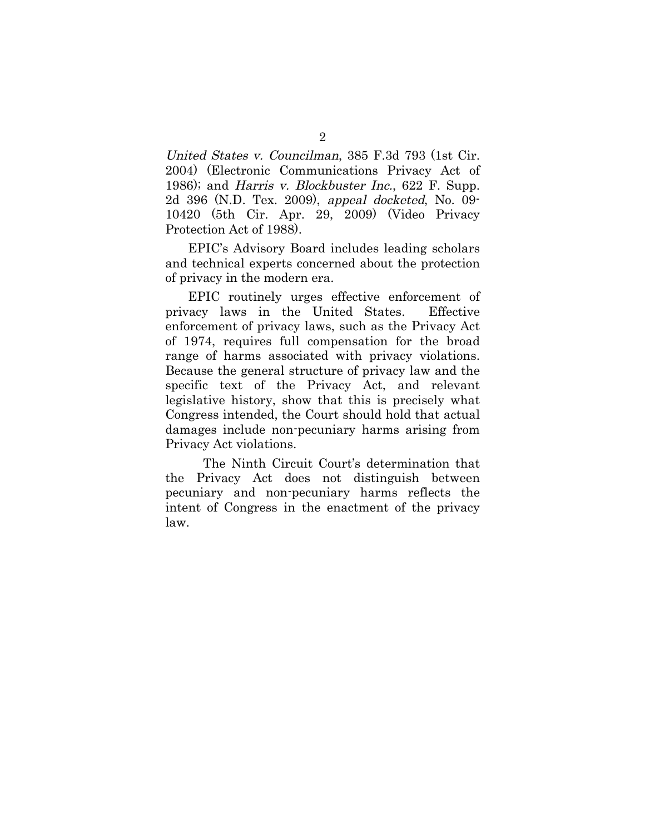United States v. Councilman, 385 F.3d 793 (1st Cir. 2004) (Electronic Communications Privacy Act of 1986); and Harris v. Blockbuster Inc., 622 F. Supp. 2d 396 (N.D. Tex. 2009), appeal docketed, No. 09- 10420 (5th Cir. Apr. 29, 2009) (Video Privacy Protection Act of 1988).

EPIC's Advisory Board includes leading scholars and technical experts concerned about the protection of privacy in the modern era.

EPIC routinely urges effective enforcement of privacy laws in the United States. Effective enforcement of privacy laws, such as the Privacy Act of 1974, requires full compensation for the broad range of harms associated with privacy violations. Because the general structure of privacy law and the specific text of the Privacy Act, and relevant legislative history, show that this is precisely what Congress intended, the Court should hold that actual damages include non-pecuniary harms arising from Privacy Act violations.

The Ninth Circuit Court's determination that the Privacy Act does not distinguish between pecuniary and non-pecuniary harms reflects the intent of Congress in the enactment of the privacy law.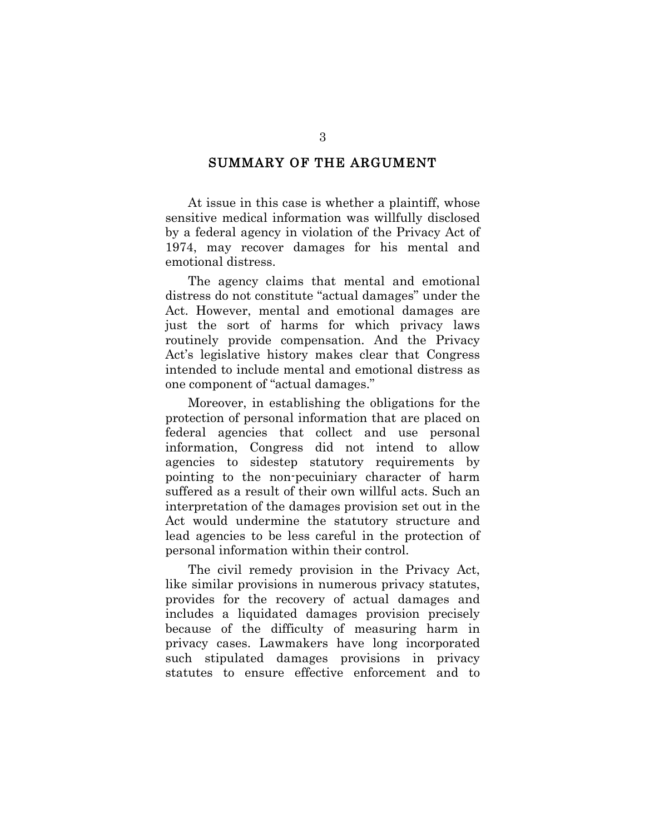#### SUMMARY OF THE ARGUMENT

At issue in this case is whether a plaintiff, whose sensitive medical information was willfully disclosed by a federal agency in violation of the Privacy Act of 1974, may recover damages for his mental and emotional distress.

The agency claims that mental and emotional distress do not constitute "actual damages" under the Act. However, mental and emotional damages are just the sort of harms for which privacy laws routinely provide compensation. And the Privacy Act's legislative history makes clear that Congress intended to include mental and emotional distress as one component of "actual damages."

Moreover, in establishing the obligations for the protection of personal information that are placed on federal agencies that collect and use personal information, Congress did not intend to allow agencies to sidestep statutory requirements by pointing to the non-pecuiniary character of harm suffered as a result of their own willful acts. Such an interpretation of the damages provision set out in the Act would undermine the statutory structure and lead agencies to be less careful in the protection of personal information within their control.

The civil remedy provision in the Privacy Act, like similar provisions in numerous privacy statutes, provides for the recovery of actual damages and includes a liquidated damages provision precisely because of the difficulty of measuring harm in privacy cases. Lawmakers have long incorporated such stipulated damages provisions in privacy statutes to ensure effective enforcement and to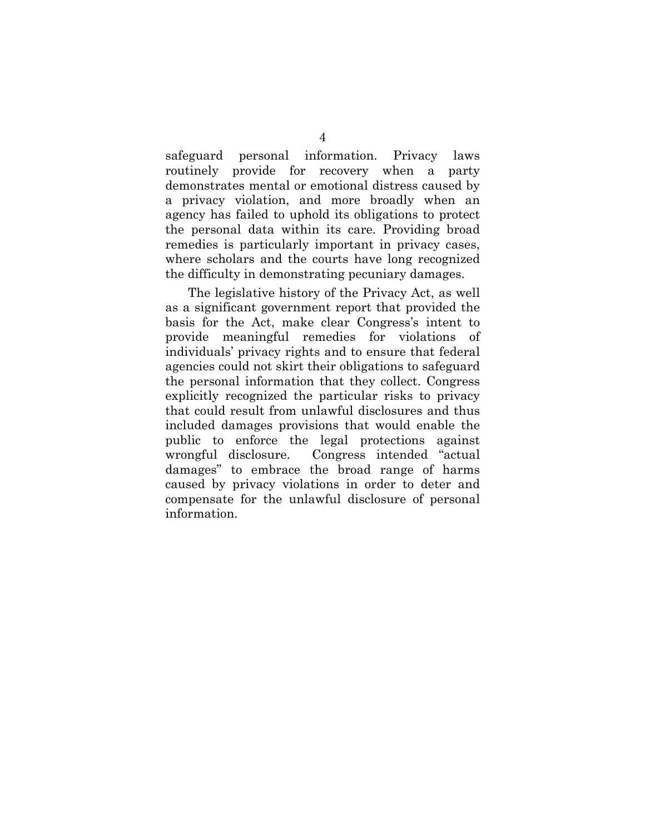safeguard personal information. Privacy laws routinely provide for recovery when a party demonstrates mental or emotional distress caused by a privacy violation, and more broadly when an agency has failed to uphold its obligations to protect the personal data within its care. Providing broad remedies is particularly important in privacy cases, where scholars and the courts have long recognized the difficulty in demonstrating pecuniary damages.

The legislative history of the Privacy Act, as well as a significant government report that provided the basis for the Act, make clear Congress's intent to provide meaningful remedies for violations of individuals' privacy rights and to ensure that federal agencies could not skirt their obligations to safeguard the personal information that they collect. Congress explicitly recognized the particular risks to privacy that could result from unlawful disclosures and thus included damages provisions that would enable the public to enforce the legal protections against wrongful disclosure. Congress intended "actual damages" to embrace the broad range of harms caused by privacy violations in order to deter and compensate for the unlawful disclosure of personal information.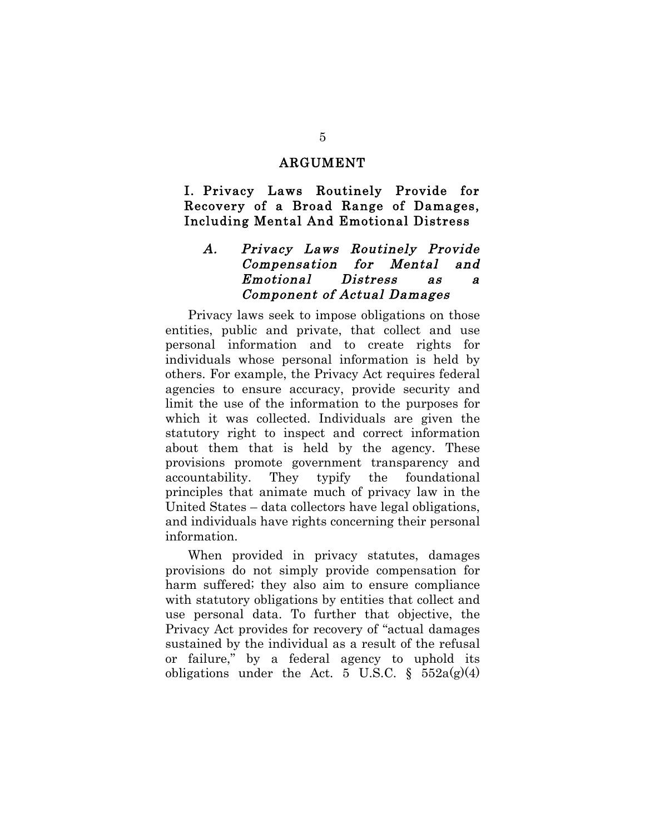#### ARGUMENT

I. Privacy Laws Routinely Provide for Recovery of a Broad Range of Damages, Including Mental And Emotional Distress

## A. Privacy Laws Routinely Provide Compensation for Mental and Emotional Distress as a Component of Actual Damages

Privacy laws seek to impose obligations on those entities, public and private, that collect and use personal information and to create rights for individuals whose personal information is held by others. For example, the Privacy Act requires federal agencies to ensure accuracy, provide security and limit the use of the information to the purposes for which it was collected. Individuals are given the statutory right to inspect and correct information about them that is held by the agency. These provisions promote government transparency and accountability. They typify the foundational principles that animate much of privacy law in the United States – data collectors have legal obligations, and individuals have rights concerning their personal information.

When provided in privacy statutes, damages provisions do not simply provide compensation for harm suffered; they also aim to ensure compliance with statutory obligations by entities that collect and use personal data. To further that objective, the Privacy Act provides for recovery of "actual damages sustained by the individual as a result of the refusal or failure," by a federal agency to uphold its obligations under the Act. 5 U.S.C.  $\S$  552a(g)(4)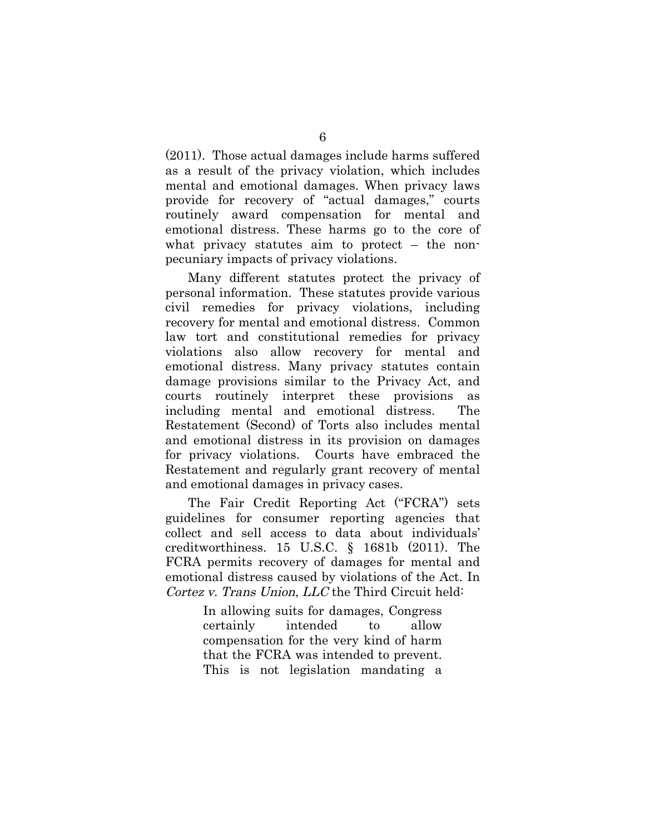(2011). Those actual damages include harms suffered as a result of the privacy violation, which includes mental and emotional damages. When privacy laws provide for recovery of "actual damages," courts routinely award compensation for mental and emotional distress. These harms go to the core of what privacy statutes aim to protect – the nonpecuniary impacts of privacy violations.

Many different statutes protect the privacy of personal information. These statutes provide various civil remedies for privacy violations, including recovery for mental and emotional distress. Common law tort and constitutional remedies for privacy violations also allow recovery for mental and emotional distress. Many privacy statutes contain damage provisions similar to the Privacy Act, and courts routinely interpret these provisions as including mental and emotional distress. The Restatement (Second) of Torts also includes mental and emotional distress in its provision on damages for privacy violations. Courts have embraced the Restatement and regularly grant recovery of mental and emotional damages in privacy cases.

The Fair Credit Reporting Act ("FCRA") sets guidelines for consumer reporting agencies that collect and sell access to data about individuals' creditworthiness. 15 U.S.C. § 1681b (2011). The FCRA permits recovery of damages for mental and emotional distress caused by violations of the Act. In Cortez v. Trans Union, LLC the Third Circuit held:

> In allowing suits for damages, Congress certainly intended to allow compensation for the very kind of harm that the FCRA was intended to prevent. This is not legislation mandating a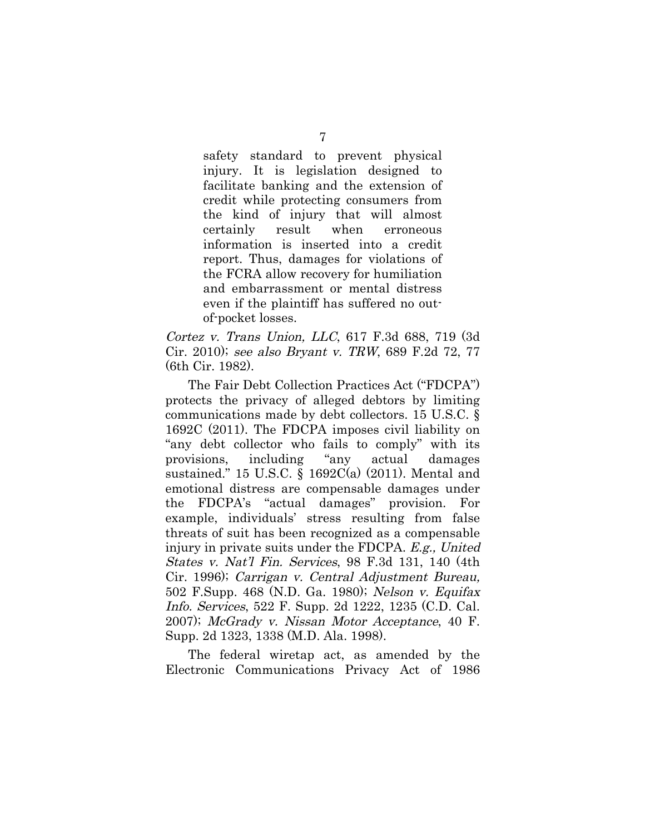safety standard to prevent physical injury. It is legislation designed to facilitate banking and the extension of credit while protecting consumers from the kind of injury that will almost certainly result when erroneous information is inserted into a credit report. Thus, damages for violations of the FCRA allow recovery for humiliation and embarrassment or mental distress even if the plaintiff has suffered no outof-pocket losses.

Cortez v. Trans Union, LLC, 617 F.3d 688, 719 (3d Cir. 2010); see also Bryant v. TRW, 689 F.2d 72, 77 (6th Cir. 1982).

The Fair Debt Collection Practices Act ("FDCPA") protects the privacy of alleged debtors by limiting communications made by debt collectors. 15 U.S.C. § 1692C (2011). The FDCPA imposes civil liability on "any debt collector who fails to comply" with its provisions, including "any actual damages sustained." 15 U.S.C. § 1692C(a) (2011). Mental and emotional distress are compensable damages under the FDCPA's "actual damages" provision. For example, individuals' stress resulting from false threats of suit has been recognized as a compensable injury in private suits under the FDCPA. E.g., United States v. Nat'l Fin. Services, 98 F.3d 131, 140 (4th Cir. 1996); Carrigan v. Central Adjustment Bureau, 502 F.Supp. 468 (N.D. Ga. 1980); Nelson v. Equifax Info. Services, 522 F. Supp. 2d 1222, 1235 (C.D. Cal. 2007); McGrady v. Nissan Motor Acceptance, 40 F. Supp. 2d 1323, 1338 (M.D. Ala. 1998).

The federal wiretap act, as amended by the Electronic Communications Privacy Act of 1986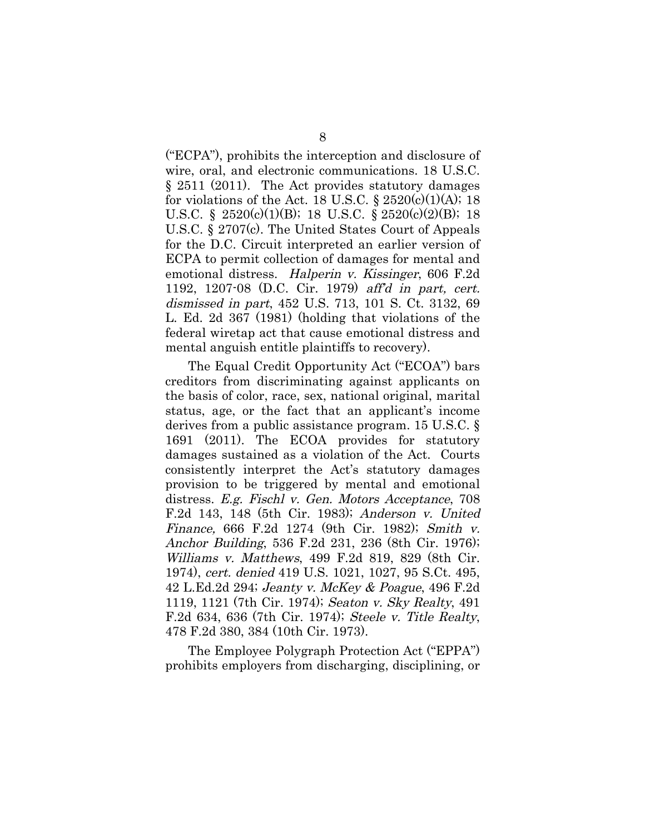("ECPA"), prohibits the interception and disclosure of wire, oral, and electronic communications. 18 U.S.C. § 2511 (2011). The Act provides statutory damages for violations of the Act. 18 U.S.C.  $\S 2520(c)(1)(A); 18$ U.S.C. § 2520(c)(1)(B); 18 U.S.C. § 2520(c)(2)(B); 18 U.S.C. § 2707(c). The United States Court of Appeals for the D.C. Circuit interpreted an earlier version of ECPA to permit collection of damages for mental and emotional distress. Halperin v. Kissinger, 606 F.2d 1192, 1207-08 (D.C. Cir. 1979) aff'd in part, cert. dismissed in part, 452 U.S. 713, 101 S. Ct. 3132, 69 L. Ed. 2d 367 (1981) (holding that violations of the federal wiretap act that cause emotional distress and mental anguish entitle plaintiffs to recovery).

The Equal Credit Opportunity Act ("ECOA") bars creditors from discriminating against applicants on the basis of color, race, sex, national original, marital status, age, or the fact that an applicant's income derives from a public assistance program. 15 U.S.C. § 1691 (2011). The ECOA provides for statutory damages sustained as a violation of the Act. Courts consistently interpret the Act's statutory damages provision to be triggered by mental and emotional distress. E.g. Fischl v. Gen. Motors Acceptance, 708 F.2d 143, 148 (5th Cir. 1983); Anderson v. United Finance, 666 F.2d 1274 (9th Cir. 1982); Smith v. Anchor Building, 536 F.2d 231, 236 (8th Cir. 1976); Williams v. Matthews, 499 F.2d 819, 829 (8th Cir. 1974), cert. denied 419 U.S. 1021, 1027, 95 S.Ct. 495, 42 L.Ed.2d 294; Jeanty v. McKey & Poague, 496 F.2d 1119, 1121 (7th Cir. 1974); Seaton v. Sky Realty, 491 F.2d 634, 636 (7th Cir. 1974); Steele v. Title Realty, 478 F.2d 380, 384 (10th Cir. 1973).

The Employee Polygraph Protection Act ("EPPA") prohibits employers from discharging, disciplining, or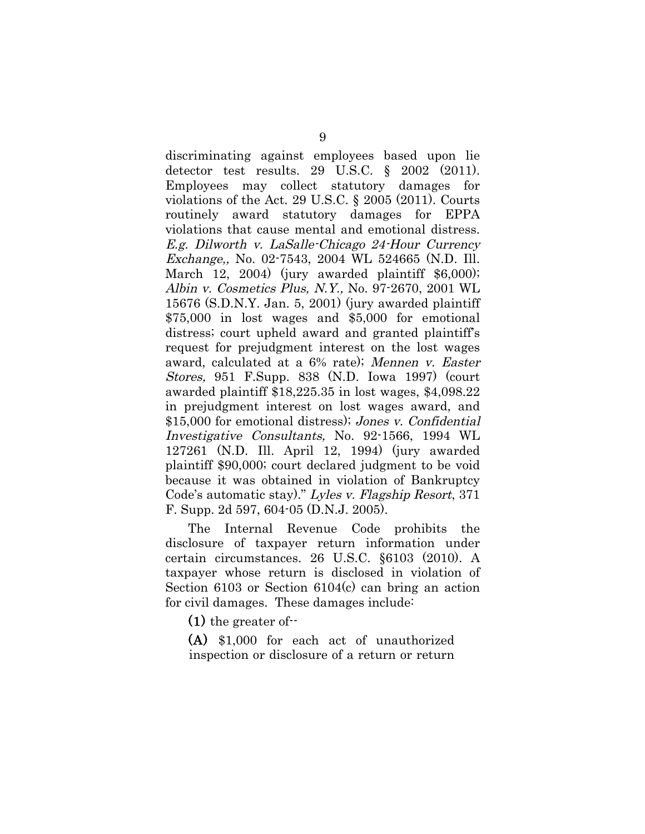discriminating against employees based upon lie detector test results. 29 U.S.C. § 2002 (2011). Employees may collect statutory damages for violations of the Act. 29 U.S.C. § 2005 (2011). Courts routinely award statutory damages for EPPA violations that cause mental and emotional distress. E.g. Dilworth v. LaSalle-Chicago 24-Hour Currency Exchange,, No. 02-7543, 2004 WL 524665 (N.D. Ill. March 12, 2004) (jury awarded plaintiff \$6,000); Albin v. Cosmetics Plus, N.Y., No. 97-2670, 2001 WL 15676 (S.D.N.Y. Jan. 5, 2001) (jury awarded plaintiff \$75,000 in lost wages and \$5,000 for emotional distress; court upheld award and granted plaintiff's request for prejudgment interest on the lost wages award, calculated at a 6% rate); Mennen v. Easter Stores, 951 F.Supp. 838 (N.D. Iowa 1997) (court awarded plaintiff \$18,225.35 in lost wages, \$4,098.22 in prejudgment interest on lost wages award, and \$15,000 for emotional distress); Jones v. Confidential Investigative Consultants, No. 92-1566, 1994 WL 127261 (N.D. Ill. April 12, 1994) (jury awarded plaintiff \$90,000; court declared judgment to be void because it was obtained in violation of Bankruptcy Code's automatic stay)." Lyles v. Flagship Resort, 371 F. Supp. 2d 597, 604-05 (D.N.J. 2005).

The Internal Revenue Code prohibits the disclosure of taxpayer return information under certain circumstances. 26 U.S.C. §6103 (2010). A taxpayer whose return is disclosed in violation of Section 6103 or Section 6104(c) can bring an action for civil damages. These damages include:

(1) the greater of--

(A) \$1,000 for each act of unauthorized inspection or disclosure of a return or return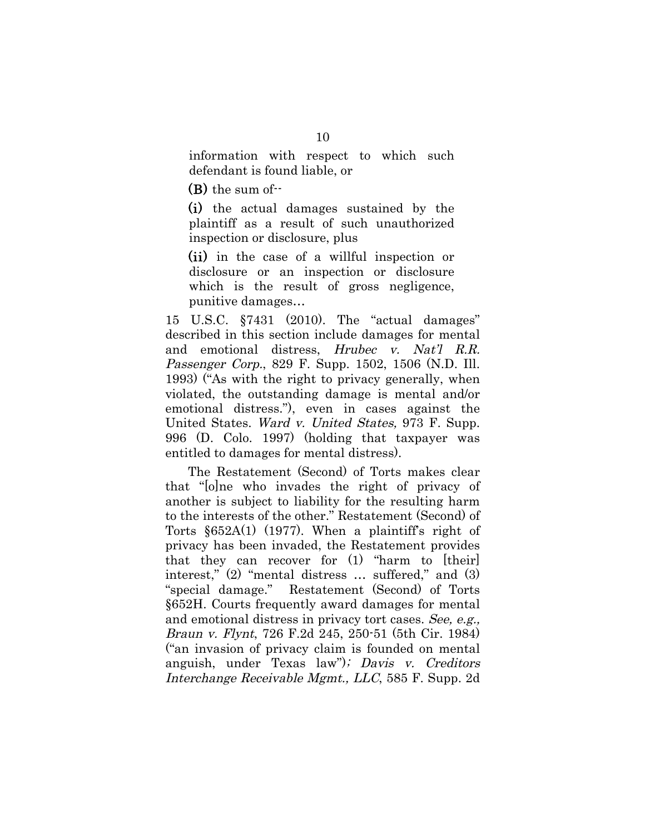information with respect to which such defendant is found liable, or

(B) the sum of--

(i) the actual damages sustained by the plaintiff as a result of such unauthorized inspection or disclosure, plus

(ii) in the case of a willful inspection or disclosure or an inspection or disclosure which is the result of gross negligence, punitive damages…

15 U.S.C. §7431 (2010). The "actual damages" described in this section include damages for mental and emotional distress, Hrubec v. Nat'l R.R. Passenger Corp., 829 F. Supp. 1502, 1506 (N.D. Ill. 1993) ("As with the right to privacy generally, when violated, the outstanding damage is mental and/or emotional distress."), even in cases against the United States. Ward v. United States, 973 F. Supp. 996 (D. Colo. 1997) (holding that taxpayer was entitled to damages for mental distress).

The Restatement (Second) of Torts makes clear that "[o]ne who invades the right of privacy of another is subject to liability for the resulting harm to the interests of the other." Restatement (Second) of Torts  $\S 652A(1)$  (1977). When a plaintiff's right of privacy has been invaded, the Restatement provides that they can recover for (1) "harm to [their] interest," (2) "mental distress … suffered," and (3) "special damage." Restatement (Second) of Torts §652H. Courts frequently award damages for mental and emotional distress in privacy tort cases. See, e.g., Braun v. Flynt, 726 F.2d 245, 250-51 (5th Cir. 1984) ("an invasion of privacy claim is founded on mental anguish, under Texas law"); Davis v. Creditors Interchange Receivable Mgmt., LLC, 585 F. Supp. 2d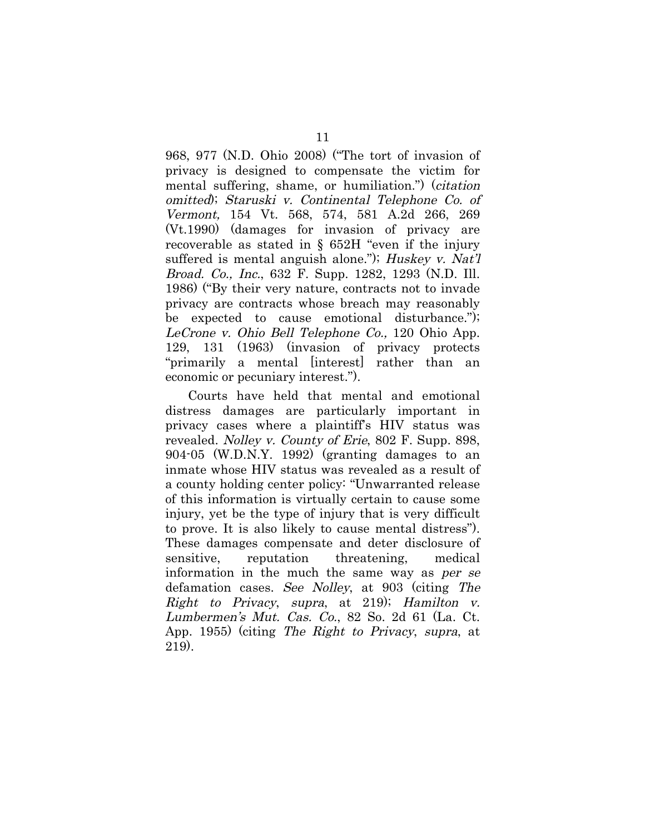968, 977 (N.D. Ohio 2008) ("The tort of invasion of privacy is designed to compensate the victim for mental suffering, shame, or humiliation.") (citation omitted); Staruski v. Continental Telephone Co. of Vermont, 154 Vt. 568, 574, 581 A.2d 266, 269 (Vt.1990) (damages for invasion of privacy are recoverable as stated in § 652H "even if the injury suffered is mental anguish alone."); Huskey v. Nat'l Broad. Co., Inc., 632 F. Supp. 1282, 1293 (N.D. Ill. 1986) ("By their very nature, contracts not to invade privacy are contracts whose breach may reasonably be expected to cause emotional disturbance."); LeCrone v. Ohio Bell Telephone Co., 120 Ohio App. 129, 131 (1963) (invasion of privacy protects "primarily a mental [interest] rather than an economic or pecuniary interest.").

Courts have held that mental and emotional distress damages are particularly important in privacy cases where a plaintiff's HIV status was revealed. Nolley v. County of Erie, 802 F. Supp. 898, 904-05 (W.D.N.Y. 1992) (granting damages to an inmate whose HIV status was revealed as a result of a county holding center policy: "Unwarranted release of this information is virtually certain to cause some injury, yet be the type of injury that is very difficult to prove. It is also likely to cause mental distress"). These damages compensate and deter disclosure of sensitive, reputation threatening, medical information in the much the same way as per se defamation cases. See Nolley, at 903 (citing The Right to Privacy, supra, at 219); Hamilton v. Lumbermen's Mut. Cas. Co., 82 So. 2d 61 (La. Ct.) App. 1955) (citing The Right to Privacy, supra, at 219).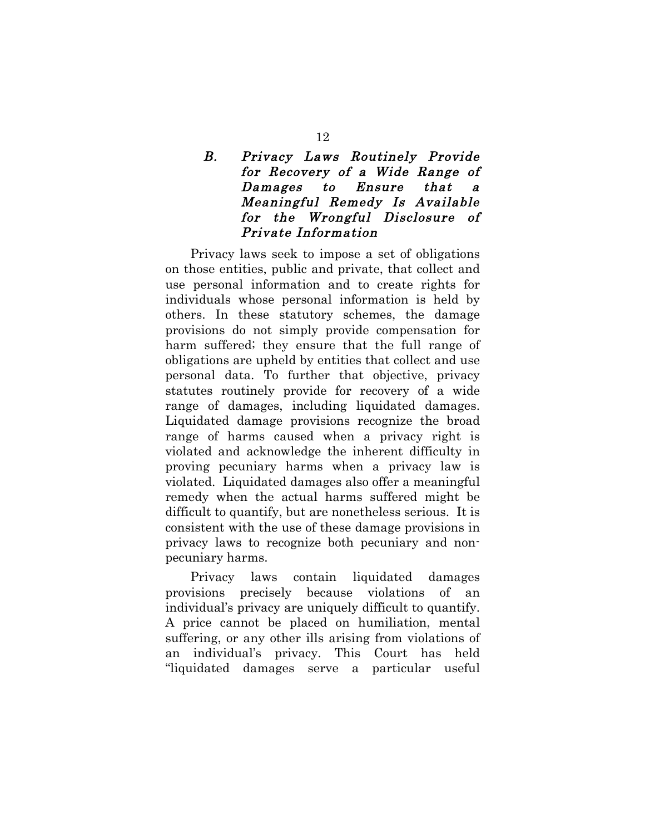# B. Privacy Laws Routinely Provide for Recovery of a Wide Range of Damages to Ensure that a Meaningful Remedy Is Available for the Wrongful Disclosure of Private Information

Privacy laws seek to impose a set of obligations on those entities, public and private, that collect and use personal information and to create rights for individuals whose personal information is held by others. In these statutory schemes, the damage provisions do not simply provide compensation for harm suffered; they ensure that the full range of obligations are upheld by entities that collect and use personal data. To further that objective, privacy statutes routinely provide for recovery of a wide range of damages, including liquidated damages. Liquidated damage provisions recognize the broad range of harms caused when a privacy right is violated and acknowledge the inherent difficulty in proving pecuniary harms when a privacy law is violated. Liquidated damages also offer a meaningful remedy when the actual harms suffered might be difficult to quantify, but are nonetheless serious. It is consistent with the use of these damage provisions in privacy laws to recognize both pecuniary and nonpecuniary harms.

Privacy laws contain liquidated damages provisions precisely because violations of an individual's privacy are uniquely difficult to quantify. A price cannot be placed on humiliation, mental suffering, or any other ills arising from violations of an individual's privacy. This Court has held "liquidated damages serve a particular useful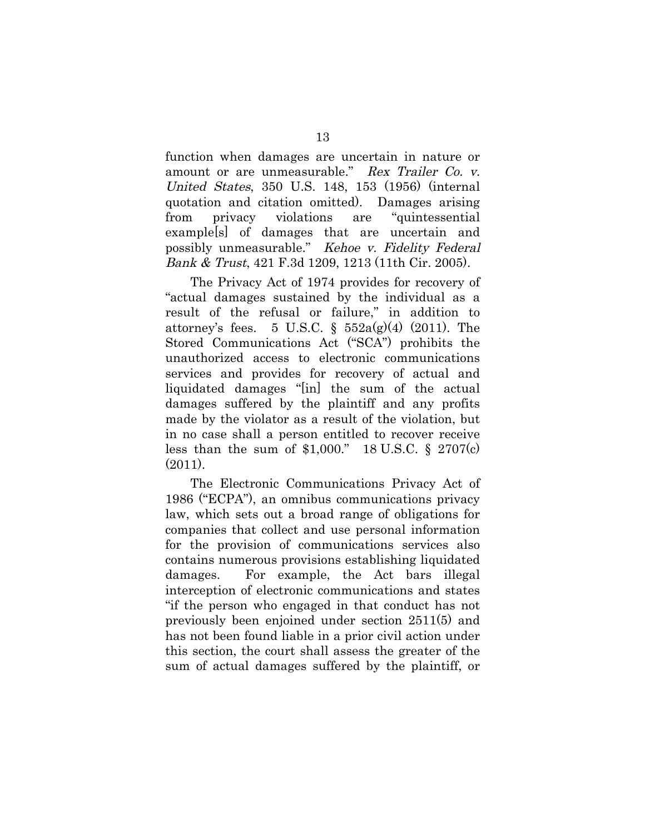function when damages are uncertain in nature or amount or are unmeasurable." Rex Trailer Co. v. United States, 350 U.S. 148, 153 (1956) (internal quotation and citation omitted). Damages arising from privacy violations are "quintessential example[s] of damages that are uncertain and possibly unmeasurable." Kehoe v. Fidelity Federal Bank & Trust, 421 F.3d 1209, 1213 (11th Cir. 2005).

The Privacy Act of 1974 provides for recovery of "actual damages sustained by the individual as a result of the refusal or failure," in addition to attorney's fees. 5 U.S.C. §  $552a(g)(4)$  (2011). The Stored Communications Act ("SCA") prohibits the unauthorized access to electronic communications services and provides for recovery of actual and liquidated damages "[in] the sum of the actual damages suffered by the plaintiff and any profits made by the violator as a result of the violation, but in no case shall a person entitled to recover receive less than the sum of  $$1,000."$  18 U.S.C.  $§$  2707(c) (2011).

The Electronic Communications Privacy Act of 1986 ("ECPA"), an omnibus communications privacy law, which sets out a broad range of obligations for companies that collect and use personal information for the provision of communications services also contains numerous provisions establishing liquidated damages. For example, the Act bars illegal interception of electronic communications and states "if the person who engaged in that conduct has not previously been enjoined under section 2511(5) and has not been found liable in a prior civil action under this section, the court shall assess the greater of the sum of actual damages suffered by the plaintiff, or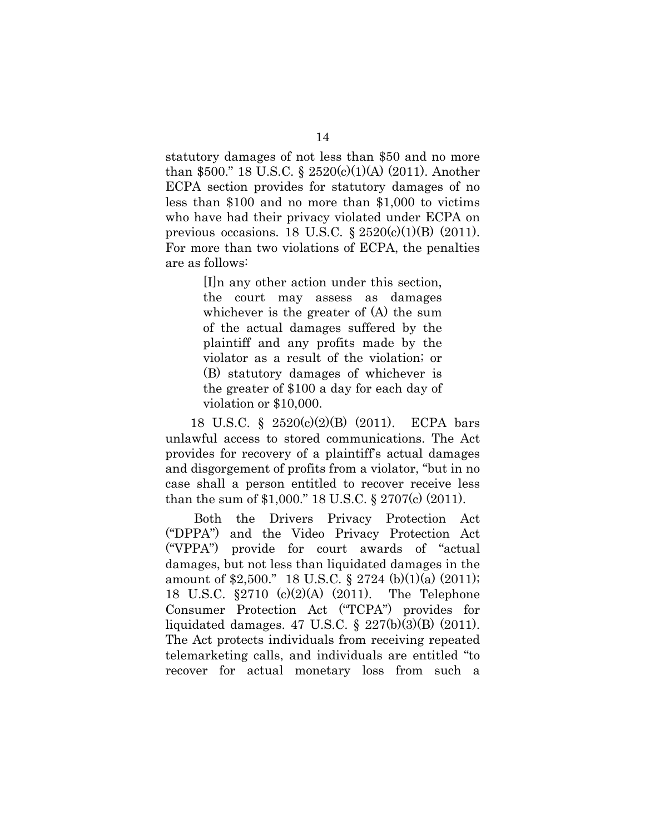statutory damages of not less than \$50 and no more than \$500." 18 U.S.C. § 2520(c)(1)(A) (2011). Another ECPA section provides for statutory damages of no less than \$100 and no more than \$1,000 to victims who have had their privacy violated under ECPA on previous occasions. 18 U.S.C.  $\S 2520(c)(1)(B)$  (2011). For more than two violations of ECPA, the penalties are as follows:

> [I]n any other action under this section, the court may assess as damages whichever is the greater of (A) the sum of the actual damages suffered by the plaintiff and any profits made by the violator as a result of the violation; or (B) statutory damages of whichever is the greater of \$100 a day for each day of violation or \$10,000.

18 U.S.C. § 2520(c)(2)(B) (2011). ECPA bars unlawful access to stored communications. The Act provides for recovery of a plaintiff's actual damages and disgorgement of profits from a violator, "but in no case shall a person entitled to recover receive less than the sum of \$1,000." 18 U.S.C. § 2707(c) (2011).

 Both the Drivers Privacy Protection Act ("DPPA") and the Video Privacy Protection Act ("VPPA") provide for court awards of "actual damages, but not less than liquidated damages in the amount of \$2,500." 18 U.S.C. § 2724 (b)(1)(a) (2011); 18 U.S.C. §2710 (c)(2)(A) (2011). The Telephone Consumer Protection Act ("TCPA") provides for liquidated damages. 47 U.S.C. § 227(b)(3)(B) (2011). The Act protects individuals from receiving repeated telemarketing calls, and individuals are entitled "to recover for actual monetary loss from such a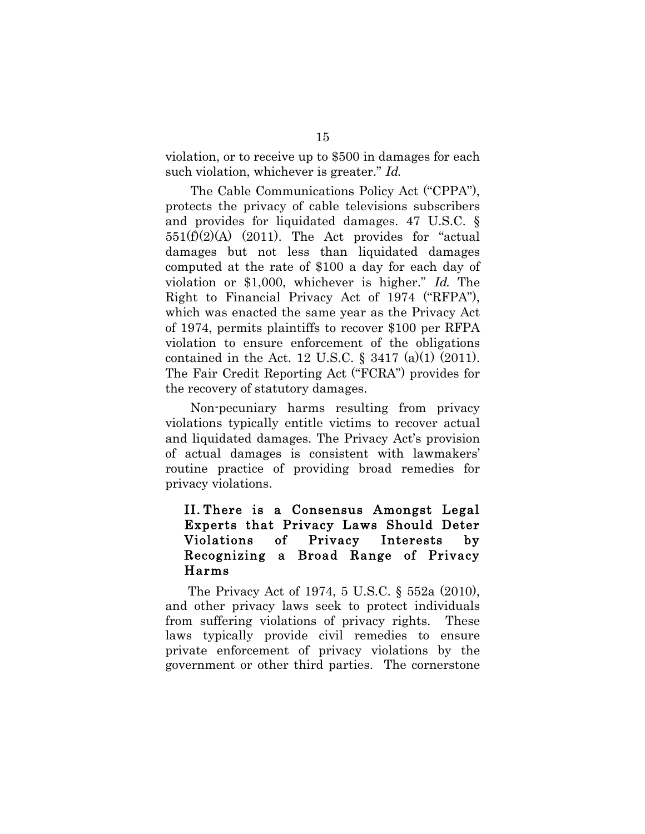violation, or to receive up to \$500 in damages for each such violation, whichever is greater." Id.

The Cable Communications Policy Act ("CPPA"), protects the privacy of cable televisions subscribers and provides for liquidated damages. 47 U.S.C. §  $551(f)(2)(A)$  (2011). The Act provides for "actual damages but not less than liquidated damages computed at the rate of \$100 a day for each day of violation or \$1,000, whichever is higher." Id. The Right to Financial Privacy Act of 1974 ("RFPA"), which was enacted the same year as the Privacy Act of 1974, permits plaintiffs to recover \$100 per RFPA violation to ensure enforcement of the obligations contained in the Act. 12 U.S.C.  $\S$  3417 (a)(1) (2011). The Fair Credit Reporting Act ("FCRA") provides for the recovery of statutory damages.

Non-pecuniary harms resulting from privacy violations typically entitle victims to recover actual and liquidated damages. The Privacy Act's provision of actual damages is consistent with lawmakers' routine practice of providing broad remedies for privacy violations.

## II. There is a Consensus Amongst Legal Experts that Privacy Laws Should Deter Violations of Privacy Interests by Recognizing a Broad Range of Privacy Harms

The Privacy Act of 1974, 5 U.S.C. § 552a (2010), and other privacy laws seek to protect individuals from suffering violations of privacy rights. These laws typically provide civil remedies to ensure private enforcement of privacy violations by the government or other third parties. The cornerstone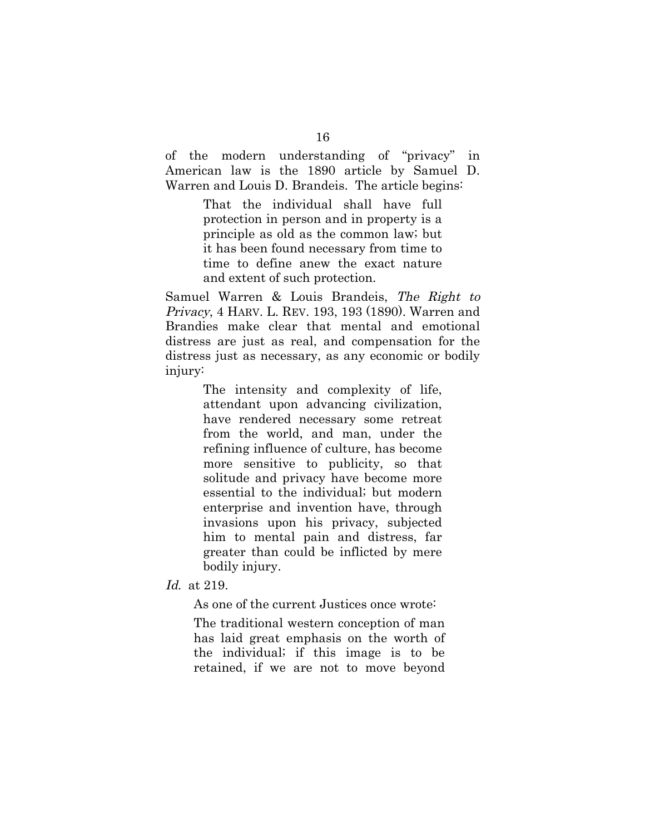of the modern understanding of "privacy" in American law is the 1890 article by Samuel D. Warren and Louis D. Brandeis. The article begins:

> That the individual shall have full protection in person and in property is a principle as old as the common law; but it has been found necessary from time to time to define anew the exact nature and extent of such protection.

Samuel Warren & Louis Brandeis, The Right to Privacy, 4 HARV. L. REV. 193, 193 (1890). Warren and Brandies make clear that mental and emotional distress are just as real, and compensation for the distress just as necessary, as any economic or bodily injury:

> The intensity and complexity of life, attendant upon advancing civilization, have rendered necessary some retreat from the world, and man, under the refining influence of culture, has become more sensitive to publicity, so that solitude and privacy have become more essential to the individual; but modern enterprise and invention have, through invasions upon his privacy, subjected him to mental pain and distress, far greater than could be inflicted by mere bodily injury.

Id. at 219.

As one of the current Justices once wrote:

The traditional western conception of man has laid great emphasis on the worth of the individual; if this image is to be retained, if we are not to move beyond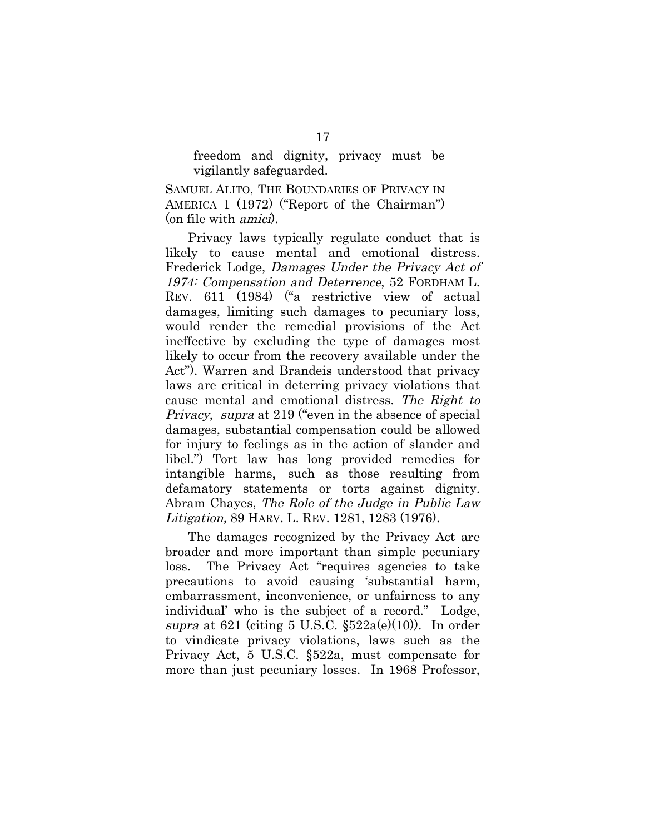freedom and dignity, privacy must be vigilantly safeguarded.

SAMUEL ALITO, THE BOUNDARIES OF PRIVACY IN AMERICA 1 (1972) ("Report of the Chairman") (on file with amici).

Privacy laws typically regulate conduct that is likely to cause mental and emotional distress. Frederick Lodge, Damages Under the Privacy Act of 1974: Compensation and Deterrence, 52 FORDHAM L. REV. 611 (1984) ("a restrictive view of actual damages, limiting such damages to pecuniary loss, would render the remedial provisions of the Act ineffective by excluding the type of damages most likely to occur from the recovery available under the Act"). Warren and Brandeis understood that privacy laws are critical in deterring privacy violations that cause mental and emotional distress. The Right to Privacy, supra at 219 ("even in the absence of special damages, substantial compensation could be allowed for injury to feelings as in the action of slander and libel.") Tort law has long provided remedies for intangible harms, such as those resulting from defamatory statements or torts against dignity. Abram Chayes, The Role of the Judge in Public Law Litigation, 89 HARV. L. REV. 1281, 1283 (1976).

The damages recognized by the Privacy Act are broader and more important than simple pecuniary loss. The Privacy Act "requires agencies to take precautions to avoid causing 'substantial harm, embarrassment, inconvenience, or unfairness to any individual' who is the subject of a record." Lodge, supra at 621 (citing 5 U.S.C.  $\S522a(e)(10)$ ). In order to vindicate privacy violations, laws such as the Privacy Act, 5 U.S.C. §522a, must compensate for more than just pecuniary losses. In 1968 Professor,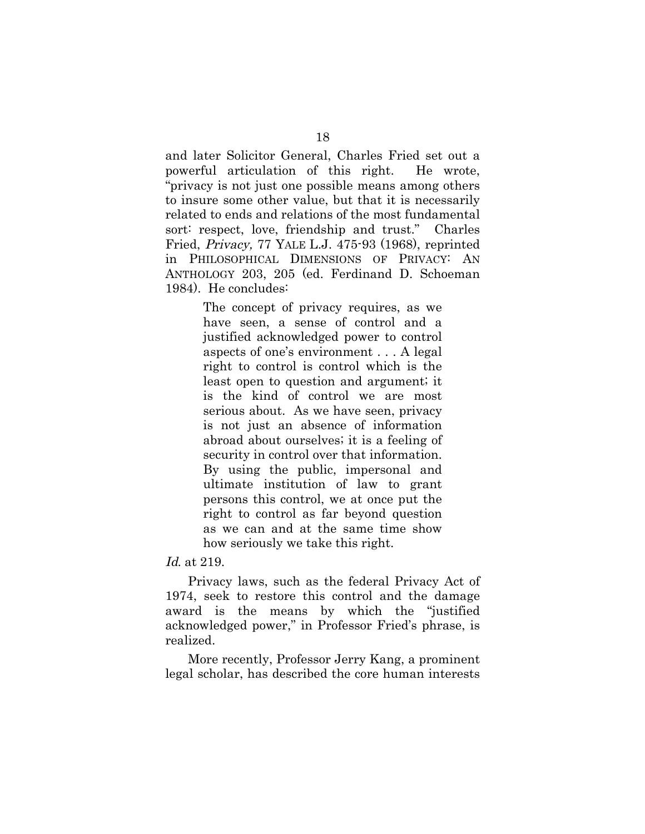and later Solicitor General, Charles Fried set out a powerful articulation of this right. He wrote, "privacy is not just one possible means among others to insure some other value, but that it is necessarily related to ends and relations of the most fundamental sort: respect, love, friendship and trust." Charles Fried, Privacy, 77 YALE L.J. 475-93 (1968), reprinted in PHILOSOPHICAL DIMENSIONS OF PRIVACY: AN ANTHOLOGY 203, 205 (ed. Ferdinand D. Schoeman 1984). He concludes:

> The concept of privacy requires, as we have seen, a sense of control and a justified acknowledged power to control aspects of one's environment . . . A legal right to control is control which is the least open to question and argument; it is the kind of control we are most serious about. As we have seen, privacy is not just an absence of information abroad about ourselves; it is a feeling of security in control over that information. By using the public, impersonal and ultimate institution of law to grant persons this control, we at once put the right to control as far beyond question as we can and at the same time show how seriously we take this right.

Id. at 219.

Privacy laws, such as the federal Privacy Act of 1974, seek to restore this control and the damage award is the means by which the "justified acknowledged power," in Professor Fried's phrase, is realized.

More recently, Professor Jerry Kang, a prominent legal scholar, has described the core human interests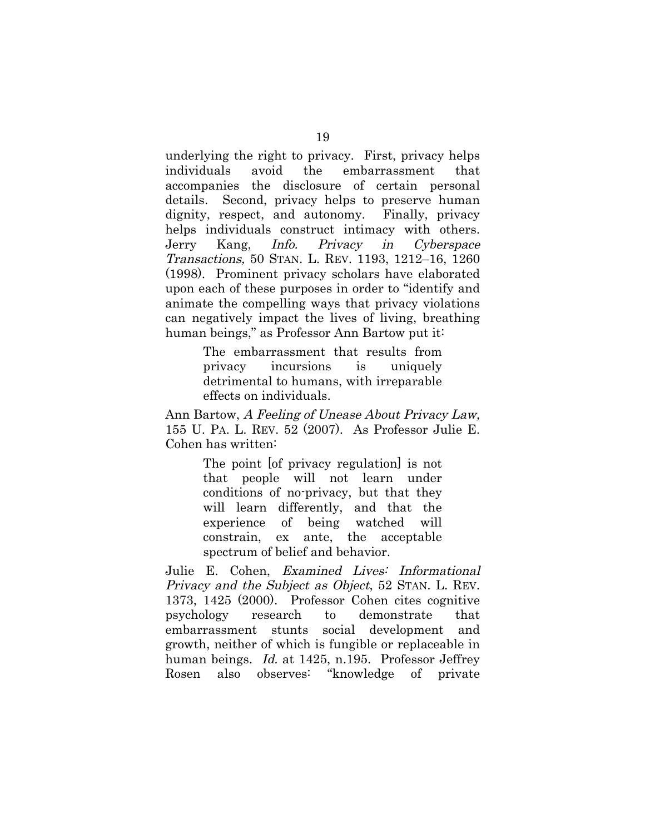underlying the right to privacy. First, privacy helps individuals avoid the embarrassment that accompanies the disclosure of certain personal details. Second, privacy helps to preserve human dignity, respect, and autonomy. Finally, privacy helps individuals construct intimacy with others. Jerry Kang, Info. Privacy in Cyberspace Transactions, 50 STAN. L. REV. 1193, 1212–16, 1260 (1998). Prominent privacy scholars have elaborated upon each of these purposes in order to "identify and animate the compelling ways that privacy violations can negatively impact the lives of living, breathing human beings," as Professor Ann Bartow put it:

> The embarrassment that results from privacy incursions is uniquely detrimental to humans, with irreparable effects on individuals.

Ann Bartow, A Feeling of Unease About Privacy Law, 155 U. PA. L. REV. 52 (2007). As Professor Julie E. Cohen has written:

> The point [of privacy regulation] is not that people will not learn under conditions of no-privacy, but that they will learn differently, and that the experience of being watched will constrain, ex ante, the acceptable spectrum of belief and behavior.

Julie E. Cohen, Examined Lives: Informational Privacy and the Subject as Object, 52 STAN. L. REV. 1373, 1425 (2000). Professor Cohen cites cognitive psychology research to demonstrate that embarrassment stunts social development and growth, neither of which is fungible or replaceable in human beings. Id. at 1425, n.195. Professor Jeffrey Rosen also observes: "knowledge of private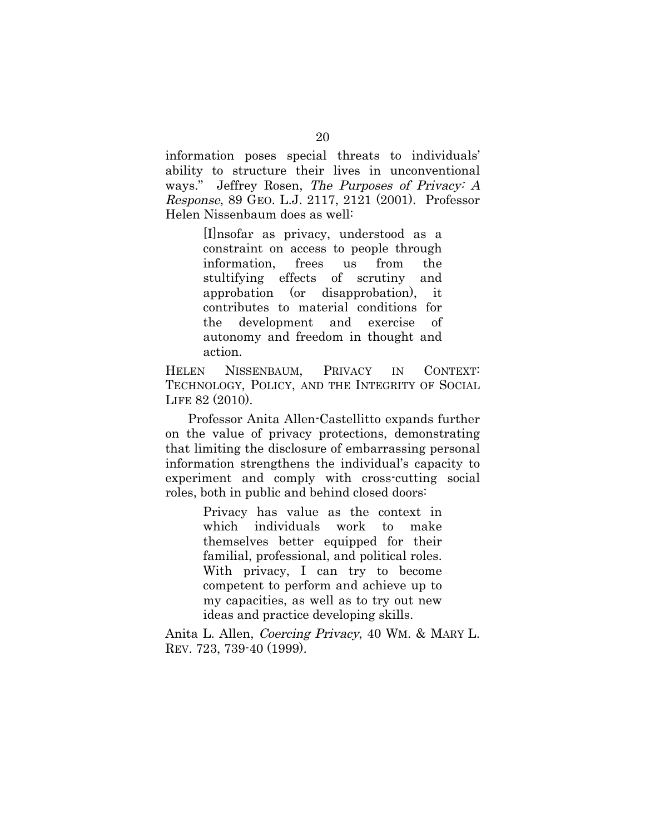information poses special threats to individuals' ability to structure their lives in unconventional ways." Jeffrey Rosen, The Purposes of Privacy: A Response, 89 GEO. L.J. 2117, 2121 (2001). Professor Helen Nissenbaum does as well:

> [I]nsofar as privacy, understood as a constraint on access to people through information, frees us from the stultifying effects of scrutiny and approbation (or disapprobation), it contributes to material conditions for the development and exercise of autonomy and freedom in thought and action.

HELEN NISSENBAUM, PRIVACY IN CONTEXT: TECHNOLOGY, POLICY, AND THE INTEGRITY OF SOCIAL LIFE 82 (2010).

Professor Anita Allen-Castellitto expands further on the value of privacy protections, demonstrating that limiting the disclosure of embarrassing personal information strengthens the individual's capacity to experiment and comply with cross-cutting social roles, both in public and behind closed doors:

> Privacy has value as the context in which individuals work to make themselves better equipped for their familial, professional, and political roles. With privacy, I can try to become competent to perform and achieve up to my capacities, as well as to try out new ideas and practice developing skills.

Anita L. Allen, Coercing Privacy, 40 WM. & MARY L. REV. 723, 739-40 (1999).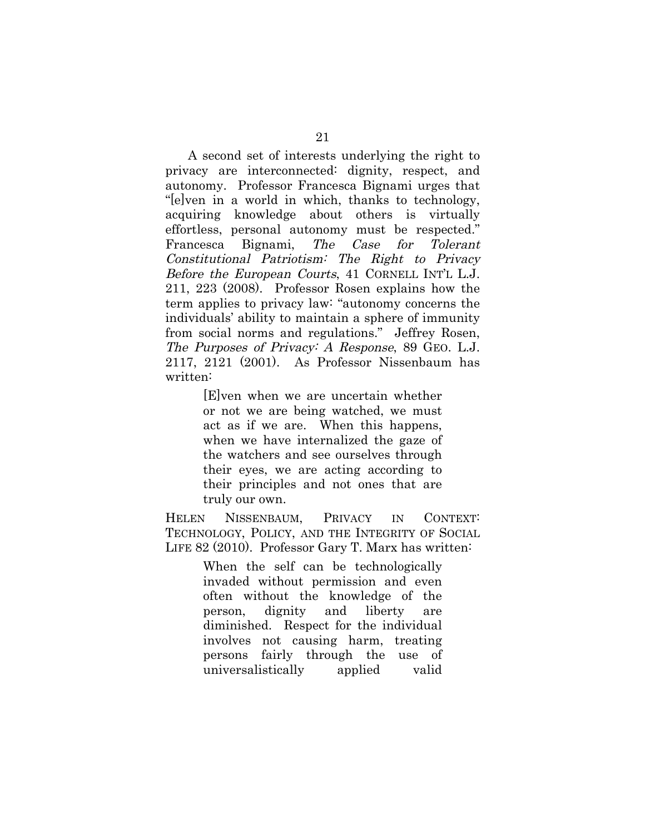A second set of interests underlying the right to privacy are interconnected: dignity, respect, and autonomy. Professor Francesca Bignami urges that "[e]ven in a world in which, thanks to technology, acquiring knowledge about others is virtually effortless, personal autonomy must be respected." Francesca Bignami, The Case for Tolerant Constitutional Patriotism: The Right to Privacy Before the European Courts, 41 CORNELL INT'L L.J. 211, 223 (2008). Professor Rosen explains how the term applies to privacy law: "autonomy concerns the individuals' ability to maintain a sphere of immunity from social norms and regulations." Jeffrey Rosen, The Purposes of Privacy: A Response, 89 GEO. L.J. 2117, 2121 (2001). As Professor Nissenbaum has written:

> [E]ven when we are uncertain whether or not we are being watched, we must act as if we are. When this happens, when we have internalized the gaze of the watchers and see ourselves through their eyes, we are acting according to their principles and not ones that are truly our own.

HELEN NISSENBAUM, PRIVACY IN CONTEXT: TECHNOLOGY, POLICY, AND THE INTEGRITY OF SOCIAL LIFE 82 (2010). Professor Gary T. Marx has written:

> When the self can be technologically invaded without permission and even often without the knowledge of the person, dignity and liberty are diminished. Respect for the individual involves not causing harm, treating persons fairly through the use of universalistically applied valid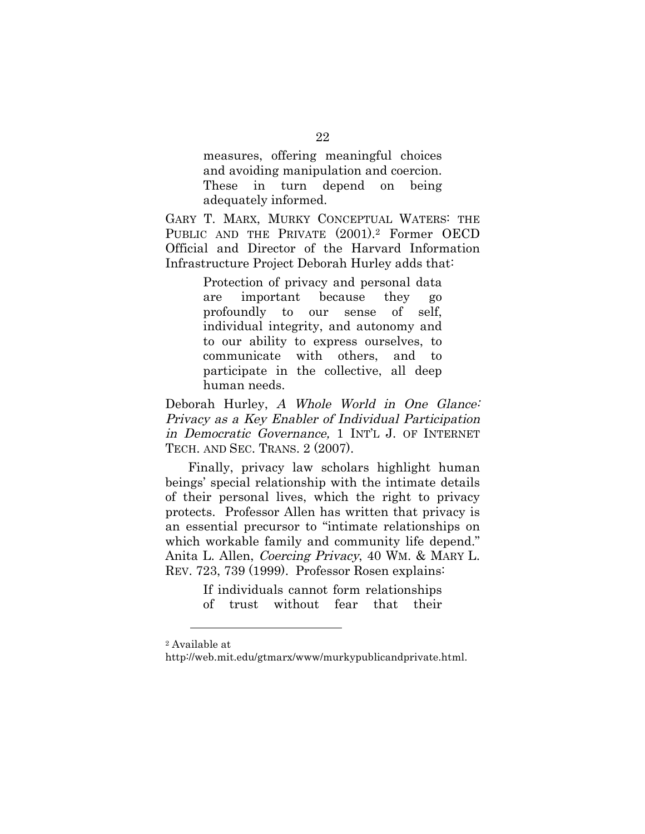measures, offering meaningful choices and avoiding manipulation and coercion. These in turn depend on being adequately informed.

GARY T. MARX, MURKY CONCEPTUAL WATERS: THE PUBLIC AND THE PRIVATE  $(2001).2$  Former OECD Official and Director of the Harvard Information Infrastructure Project Deborah Hurley adds that:

> Protection of privacy and personal data are important because they go profoundly to our sense of self, individual integrity, and autonomy and to our ability to express ourselves, to communicate with others, and to participate in the collective, all deep human needs.

Deborah Hurley, A Whole World in One Glance: Privacy as a Key Enabler of Individual Participation in Democratic Governance, 1 INT'L J. OF INTERNET TECH. AND SEC. TRANS. 2 (2007).

Finally, privacy law scholars highlight human beings' special relationship with the intimate details of their personal lives, which the right to privacy protects. Professor Allen has written that privacy is an essential precursor to "intimate relationships on which workable family and community life depend." Anita L. Allen, Coercing Privacy, 40 WM. & MARY L. REV. 723, 739 (1999). Professor Rosen explains:

> If individuals cannot form relationships of trust without fear that their

 $\overline{a}$ 

<sup>2</sup> Available at

http://web.mit.edu/gtmarx/www/murkypublicandprivate.html.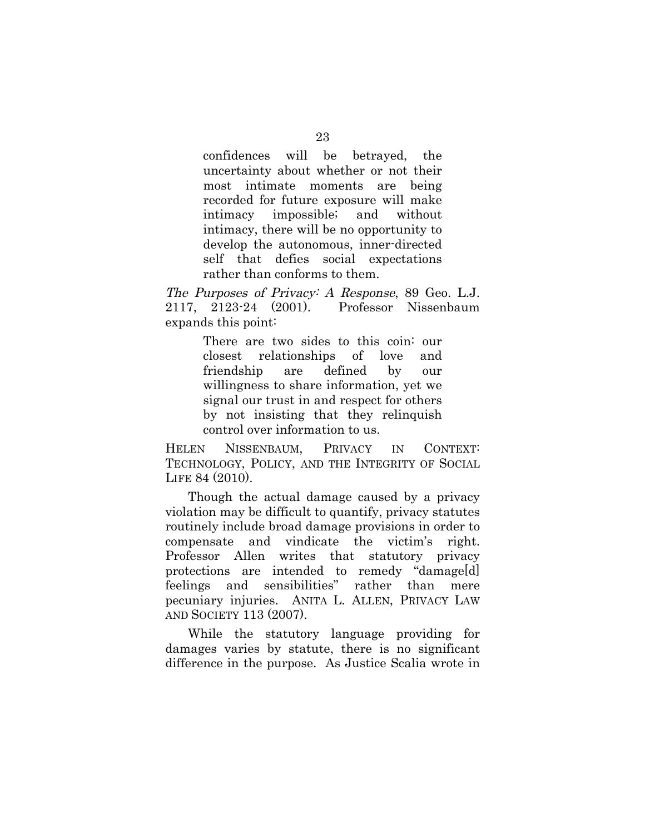confidences will be betrayed, the uncertainty about whether or not their most intimate moments are being recorded for future exposure will make intimacy impossible; and without intimacy, there will be no opportunity to develop the autonomous, inner-directed self that defies social expectations rather than conforms to them.

The Purposes of Privacy: A Response, 89 Geo. L.J. 2117, 2123-24 (2001). Professor Nissenbaum expands this point:

> There are two sides to this coin: our closest relationships of love and friendship are defined by our willingness to share information, yet we signal our trust in and respect for others by not insisting that they relinquish control over information to us.

HELEN NISSENBAUM, PRIVACY IN CONTEXT: TECHNOLOGY, POLICY, AND THE INTEGRITY OF SOCIAL LIFE 84 (2010).

Though the actual damage caused by a privacy violation may be difficult to quantify, privacy statutes routinely include broad damage provisions in order to compensate and vindicate the victim's right. Professor Allen writes that statutory privacy protections are intended to remedy "damage[d] feelings and sensibilities" rather than mere pecuniary injuries. ANITA L. ALLEN, PRIVACY LAW AND SOCIETY 113 (2007).

While the statutory language providing for damages varies by statute, there is no significant difference in the purpose. As Justice Scalia wrote in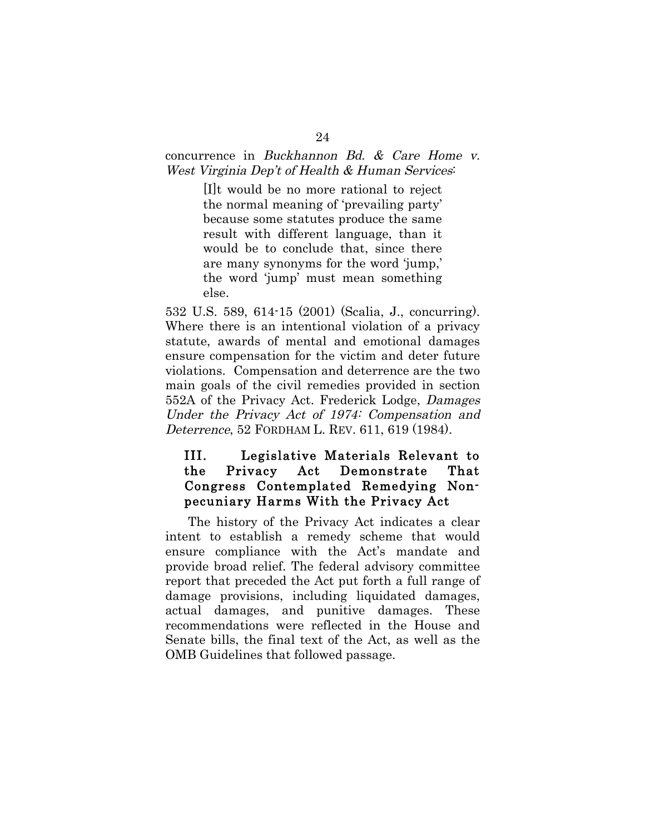#### concurrence in Buckhannon Bd. & Care Home v. West Virginia Dep't of Health & Human Services:

[I]t would be no more rational to reject the normal meaning of 'prevailing party' because some statutes produce the same result with different language, than it would be to conclude that, since there are many synonyms for the word 'jump,' the word 'jump' must mean something else.

532 U.S. 589, 614-15 (2001) (Scalia, J., concurring). Where there is an intentional violation of a privacy statute, awards of mental and emotional damages ensure compensation for the victim and deter future violations. Compensation and deterrence are the two main goals of the civil remedies provided in section 552A of the Privacy Act. Frederick Lodge, Damages Under the Privacy Act of 1974: Compensation and Deterrence, 52 FORDHAM L. REV. 611, 619 (1984).

## III. Legislative Materials Relevant to the Privacy Act Demonstrate That Congress Contemplated Remedying Nonpecuniary Harms With the Privacy Act

The history of the Privacy Act indicates a clear intent to establish a remedy scheme that would ensure compliance with the Act's mandate and provide broad relief. The federal advisory committee report that preceded the Act put forth a full range of damage provisions, including liquidated damages, actual damages, and punitive damages. These recommendations were reflected in the House and Senate bills, the final text of the Act, as well as the OMB Guidelines that followed passage.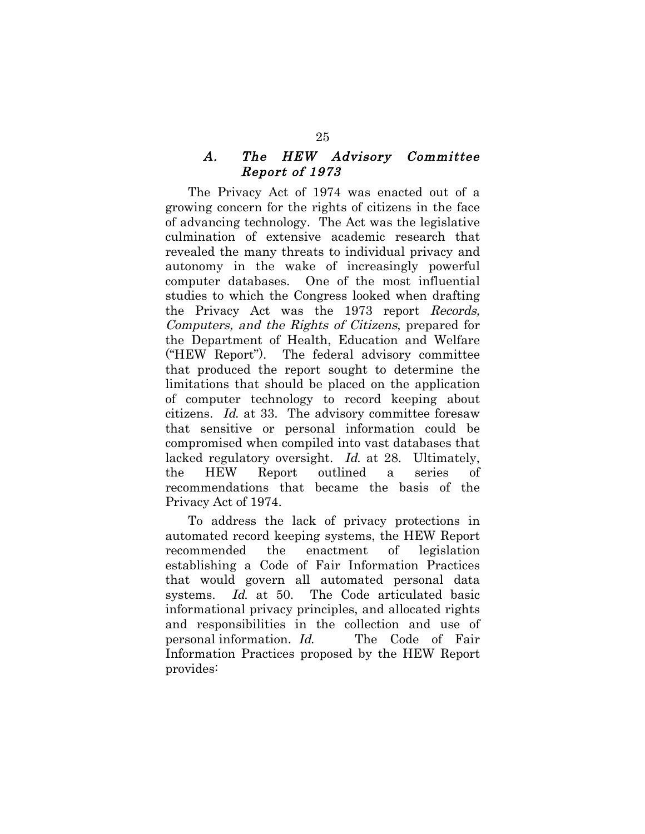#### A. The HEW Advisory Committee Report of 1973

The Privacy Act of 1974 was enacted out of a growing concern for the rights of citizens in the face of advancing technology. The Act was the legislative culmination of extensive academic research that revealed the many threats to individual privacy and autonomy in the wake of increasingly powerful computer databases. One of the most influential studies to which the Congress looked when drafting the Privacy Act was the 1973 report Records, Computers, and the Rights of Citizens, prepared for the Department of Health, Education and Welfare ("HEW Report"). The federal advisory committee that produced the report sought to determine the limitations that should be placed on the application of computer technology to record keeping about citizens. Id. at 33. The advisory committee foresaw that sensitive or personal information could be compromised when compiled into vast databases that lacked regulatory oversight. Id. at 28. Ultimately, the HEW Report outlined a series of recommendations that became the basis of the Privacy Act of 1974.

To address the lack of privacy protections in automated record keeping systems, the HEW Report recommended the enactment of legislation establishing a Code of Fair Information Practices that would govern all automated personal data systems. Id. at 50. The Code articulated basic informational privacy principles, and allocated rights and responsibilities in the collection and use of personal information. Id. The Code of Fair Information Practices proposed by the HEW Report provides: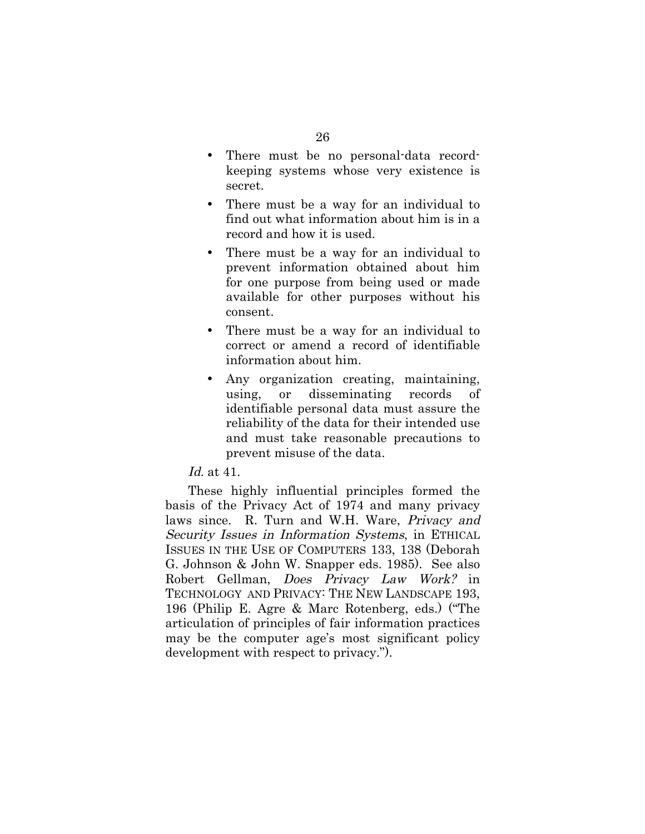- There must be no personal-data recordkeeping systems whose very existence is secret.
- There must be a way for an individual to find out what information about him is in a record and how it is used.
- There must be a way for an individual to prevent information obtained about him for one purpose from being used or made available for other purposes without his consent.
- There must be a way for an individual to correct or amend a record of identifiable information about him.
- Any organization creating, maintaining, using, or disseminating records of identifiable personal data must assure the reliability of the data for their intended use and must take reasonable precautions to prevent misuse of the data.

Id. at 41.

These highly influential principles formed the basis of the Privacy Act of 1974 and many privacy laws since. R. Turn and W.H. Ware, Privacy and Security Issues in Information Systems, in ETHICAL ISSUES IN THE USE OF COMPUTERS 133, 138 (Deborah G. Johnson & John W. Snapper eds. 1985). See also Robert Gellman, Does Privacy Law Work? in TECHNOLOGY AND PRIVACY: THE NEW LANDSCAPE 193, 196 (Philip E. Agre & Marc Rotenberg, eds.) ("The articulation of principles of fair information practices may be the computer age's most significant policy development with respect to privacy.").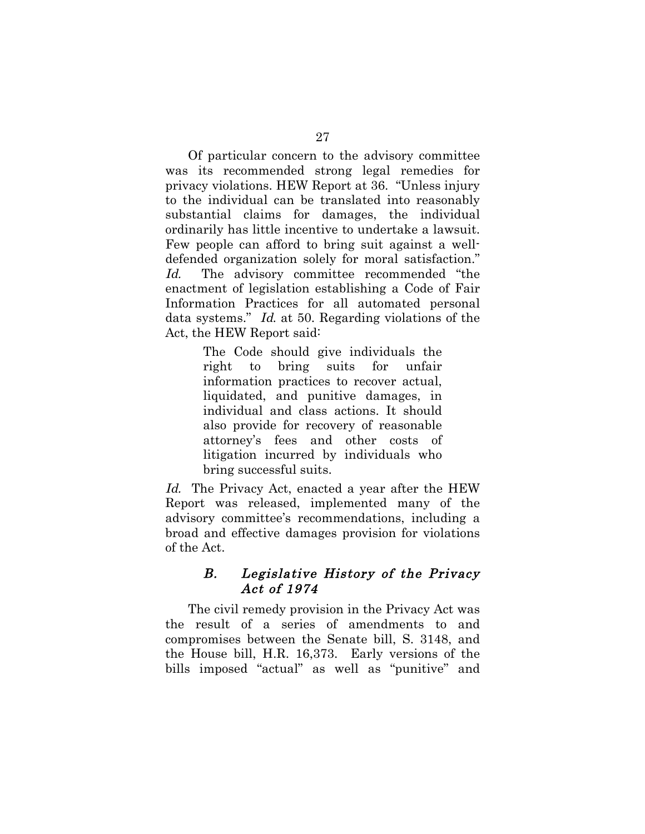Of particular concern to the advisory committee was its recommended strong legal remedies for privacy violations. HEW Report at 36. "Unless injury to the individual can be translated into reasonably substantial claims for damages, the individual ordinarily has little incentive to undertake a lawsuit. Few people can afford to bring suit against a welldefended organization solely for moral satisfaction." Id. The advisory committee recommended "the enactment of legislation establishing a Code of Fair Information Practices for all automated personal data systems." Id. at 50. Regarding violations of the Act, the HEW Report said:

> The Code should give individuals the right to bring suits for unfair information practices to recover actual, liquidated, and punitive damages, in individual and class actions. It should also provide for recovery of reasonable attorney's fees and other costs of litigation incurred by individuals who bring successful suits.

Id. The Privacy Act, enacted a year after the HEW Report was released, implemented many of the advisory committee's recommendations, including a broad and effective damages provision for violations of the Act.

### B. Legislative History of the Privacy Act of 1974

The civil remedy provision in the Privacy Act was the result of a series of amendments to and compromises between the Senate bill, S. 3148, and the House bill, H.R. 16,373. Early versions of the bills imposed "actual" as well as "punitive" and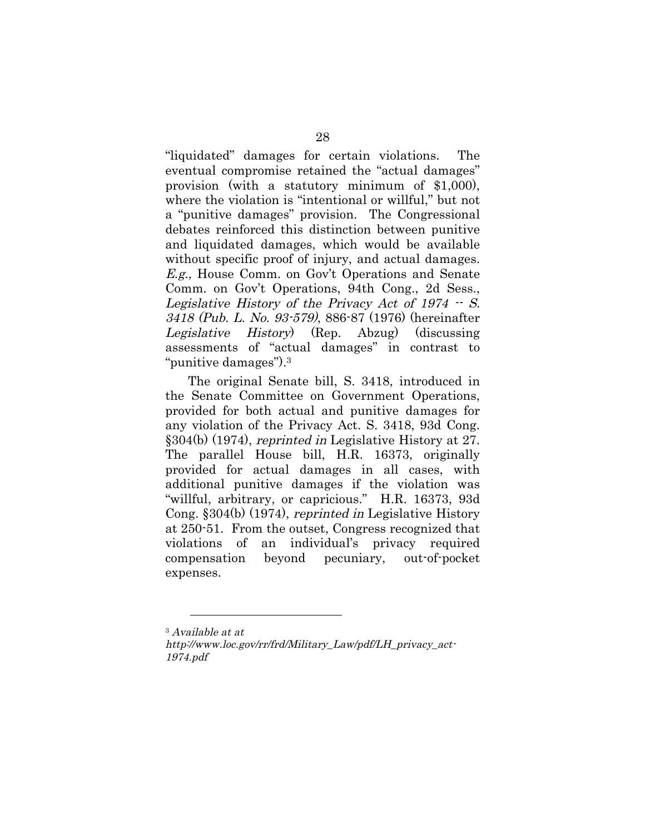"liquidated" damages for certain violations. The eventual compromise retained the "actual damages" provision (with a statutory minimum of \$1,000), where the violation is "intentional or willful," but not a "punitive damages" provision. The Congressional debates reinforced this distinction between punitive and liquidated damages, which would be available without specific proof of injury, and actual damages. E.g., House Comm. on Gov't Operations and Senate Comm. on Gov't Operations, 94th Cong., 2d Sess., Legislative History of the Privacy Act of  $1974 - S$ . 3418 (Pub. L. No. 93-579), 886-87 (1976) (hereinafter Legislative History) (Rep. Abzug) (discussing assessments of "actual damages" in contrast to "punitive damages").3

The original Senate bill, S. 3418, introduced in the Senate Committee on Government Operations, provided for both actual and punitive damages for any violation of the Privacy Act. S. 3418, 93d Cong. §304(b) (1974), reprinted in Legislative History at 27. The parallel House bill, H.R. 16373, originally provided for actual damages in all cases, with additional punitive damages if the violation was "willful, arbitrary, or capricious." H.R. 16373, 93d Cong. §304(b) (1974), reprinted in Legislative History at 250-51. From the outset, Congress recognized that violations of an individual's privacy required compensation beyond pecuniary, out-of-pocket expenses.

 $\overline{a}$ 

<sup>3</sup> Available at at

http://www.loc.gov/rr/frd/Military\_Law/pdf/LH\_privacy\_act-1974.pdf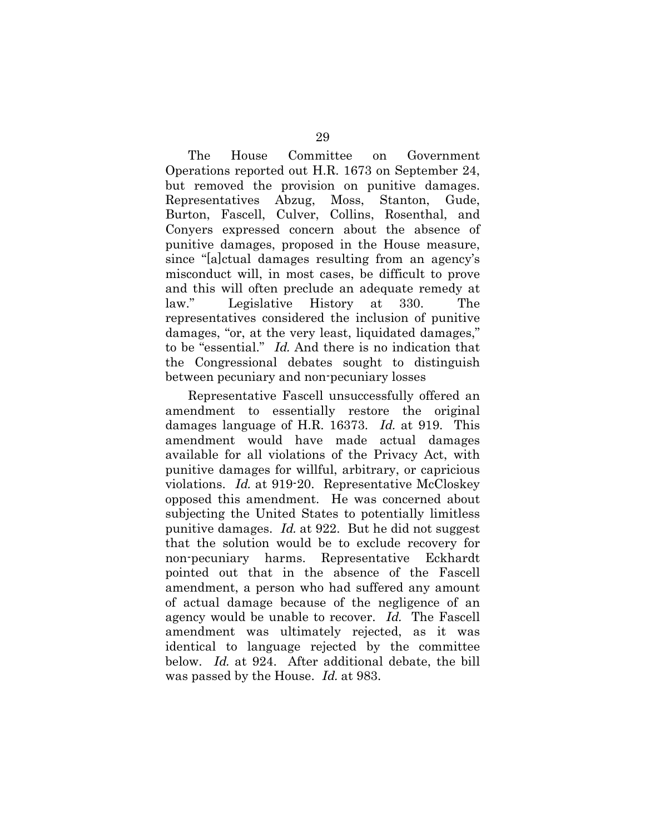The House Committee on Government Operations reported out H.R. 1673 on September 24, but removed the provision on punitive damages. Representatives Abzug, Moss, Stanton, Gude, Burton, Fascell, Culver, Collins, Rosenthal, and Conyers expressed concern about the absence of punitive damages, proposed in the House measure, since "[a]ctual damages resulting from an agency's misconduct will, in most cases, be difficult to prove and this will often preclude an adequate remedy at law." Legislative History at 330. The representatives considered the inclusion of punitive damages, "or, at the very least, liquidated damages," to be "essential." Id. And there is no indication that the Congressional debates sought to distinguish between pecuniary and non-pecuniary losses

Representative Fascell unsuccessfully offered an amendment to essentially restore the original damages language of H.R. 16373. Id. at 919. This amendment would have made actual damages available for all violations of the Privacy Act, with punitive damages for willful, arbitrary, or capricious violations. Id. at 919-20. Representative McCloskey opposed this amendment. He was concerned about subjecting the United States to potentially limitless punitive damages. Id. at 922. But he did not suggest that the solution would be to exclude recovery for non-pecuniary harms. Representative Eckhardt pointed out that in the absence of the Fascell amendment, a person who had suffered any amount of actual damage because of the negligence of an agency would be unable to recover. Id. The Fascell amendment was ultimately rejected, as it was identical to language rejected by the committee below. Id. at 924. After additional debate, the bill was passed by the House. Id. at 983.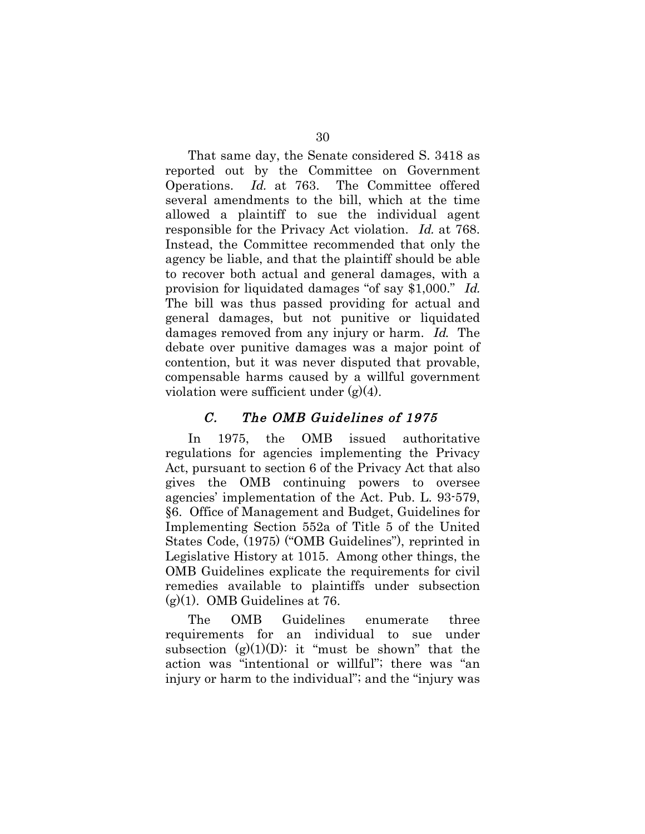That same day, the Senate considered S. 3418 as reported out by the Committee on Government Operations. Id. at 763. The Committee offered several amendments to the bill, which at the time allowed a plaintiff to sue the individual agent responsible for the Privacy Act violation. Id. at 768. Instead, the Committee recommended that only the agency be liable, and that the plaintiff should be able to recover both actual and general damages, with a provision for liquidated damages "of say \$1,000." Id. The bill was thus passed providing for actual and general damages, but not punitive or liquidated damages removed from any injury or harm. Id. The debate over punitive damages was a major point of contention, but it was never disputed that provable, compensable harms caused by a willful government violation were sufficient under (g)(4).

### C. The OMB Guidelines of 1975

In 1975, the OMB issued authoritative regulations for agencies implementing the Privacy Act, pursuant to section 6 of the Privacy Act that also gives the OMB continuing powers to oversee agencies' implementation of the Act. Pub. L. 93-579, §6. Office of Management and Budget, Guidelines for Implementing Section 552a of Title 5 of the United States Code, (1975) ("OMB Guidelines"), reprinted in Legislative History at 1015. Among other things, the OMB Guidelines explicate the requirements for civil remedies available to plaintiffs under subsection  $(g)(1)$ . OMB Guidelines at 76.

The OMB Guidelines enumerate three requirements for an individual to sue under subsection  $(g)(1)(D)$ : it "must be shown" that the action was "intentional or willful"; there was "an injury or harm to the individual"; and the "injury was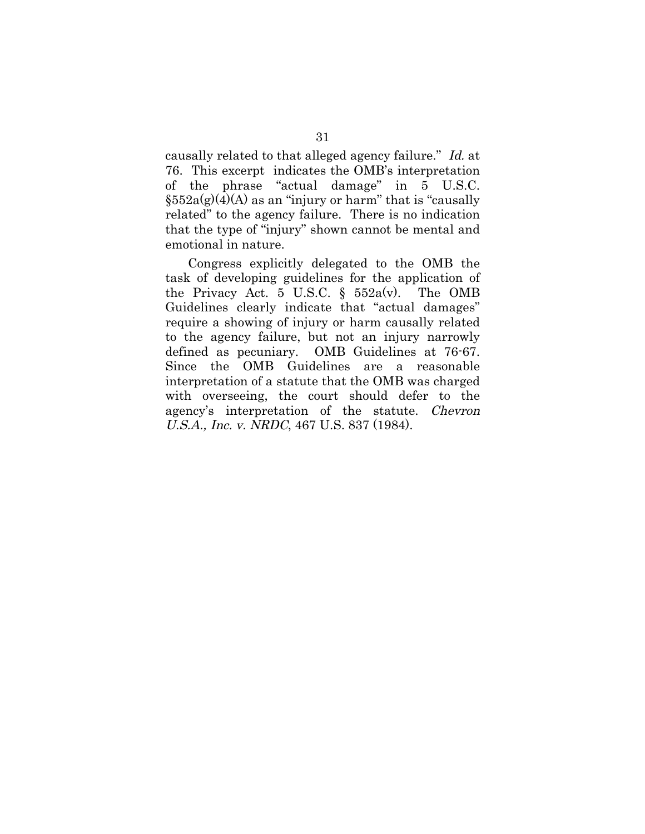causally related to that alleged agency failure." Id. at 76. This excerpt indicates the OMB's interpretation of the phrase "actual damage" in 5 U.S.C.  $\S552a(g)(4)(A)$  as an "injury or harm" that is "causally related" to the agency failure. There is no indication that the type of "injury" shown cannot be mental and emotional in nature.

Congress explicitly delegated to the OMB the task of developing guidelines for the application of the Privacy Act. 5 U.S.C.  $\S$  552a(v). The OMB Guidelines clearly indicate that "actual damages" require a showing of injury or harm causally related to the agency failure, but not an injury narrowly defined as pecuniary. OMB Guidelines at 76-67. Since the OMB Guidelines are a reasonable interpretation of a statute that the OMB was charged with overseeing, the court should defer to the agency's interpretation of the statute. Chevron U.S.A., Inc. v. NRDC, 467 U.S. 837 (1984).